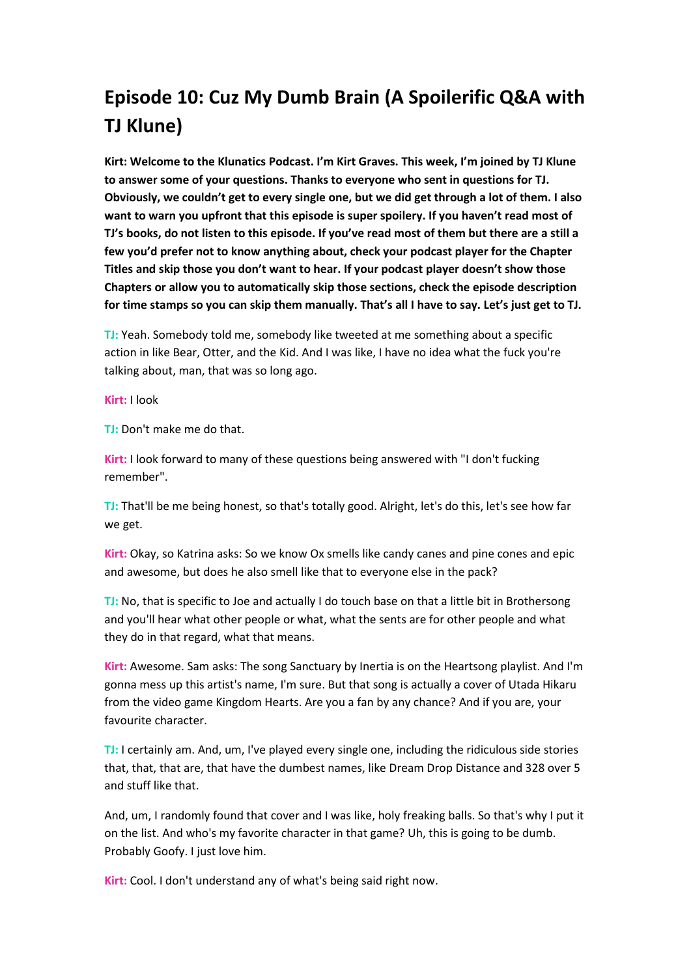## **Episode 10: Cuz My Dumb Brain (A Spoilerific Q&A with TJ Klune)**

**Kirt: Welcome to the Klunatics Podcast. I'm Kirt Graves. This week, I'm joined by TJ Klune to answer some of your questions. Thanks to everyone who sent in questions for TJ. Obviously, we couldn't get to every single one, but we did get through a lot of them. I also want to warn you upfront that this episode is super spoilery. If you haven't read most of TJ's books, do not listen to this episode. If you've read most of them but there are a still a few you'd prefer not to know anything about, check your podcast player for the Chapter Titles and skip those you don't want to hear. If your podcast player doesn't show those Chapters or allow you to automatically skip those sections, check the episode description for time stamps so you can skip them manually. That's all I have to say. Let's just get to TJ.**

**TJ:** Yeah. Somebody told me, somebody like tweeted at me something about a specific action in like Bear, Otter, and the Kid. And I was like, I have no idea what the fuck you're talking about, man, that was so long ago.

**Kirt:** I look

**TJ:** Don't make me do that.

**Kirt:** I look forward to many of these questions being answered with "I don't fucking remember".

**TJ:** That'll be me being honest, so that's totally good. Alright, let's do this, let's see how far we get.

**Kirt:** Okay, so Katrina asks: So we know Ox smells like candy canes and pine cones and epic and awesome, but does he also smell like that to everyone else in the pack?

**TJ:** No, that is specific to Joe and actually I do touch base on that a little bit in Brothersong and you'll hear what other people or what, what the sents are for other people and what they do in that regard, what that means.

**Kirt:** Awesome. Sam asks: The song Sanctuary by Inertia is on the Heartsong playlist. And I'm gonna mess up this artist's name, I'm sure. But that song is actually a cover of Utada Hikaru from the video game Kingdom Hearts. Are you a fan by any chance? And if you are, your favourite character.

**TJ:** I certainly am. And, um, I've played every single one, including the ridiculous side stories that, that, that are, that have the dumbest names, like Dream Drop Distance and 328 over 5 and stuff like that.

And, um, I randomly found that cover and I was like, holy freaking balls. So that's why I put it on the list. And who's my favorite character in that game? Uh, this is going to be dumb. Probably Goofy. I just love him.

**Kirt:** Cool. I don't understand any of what's being said right now.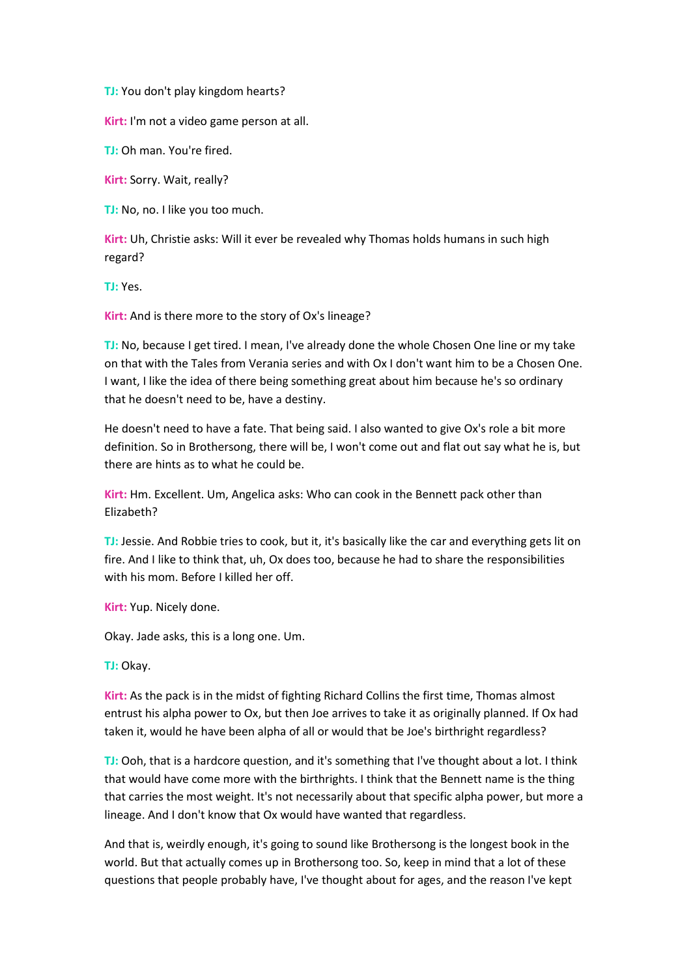**TJ:** You don't play kingdom hearts?

**Kirt:** I'm not a video game person at all.

**TJ:** Oh man. You're fired.

**Kirt:** Sorry. Wait, really?

**TJ:** No, no. I like you too much.

**Kirt:** Uh, Christie asks: Will it ever be revealed why Thomas holds humans in such high regard?

**TJ:** Yes.

**Kirt:** And is there more to the story of Ox's lineage?

**TJ:** No, because I get tired. I mean, I've already done the whole Chosen One line or my take on that with the Tales from Verania series and with Ox I don't want him to be a Chosen One. I want, I like the idea of there being something great about him because he's so ordinary that he doesn't need to be, have a destiny.

He doesn't need to have a fate. That being said. I also wanted to give Ox's role a bit more definition. So in Brothersong, there will be, I won't come out and flat out say what he is, but there are hints as to what he could be.

**Kirt:** Hm. Excellent. Um, Angelica asks: Who can cook in the Bennett pack other than Elizabeth?

**TJ:** Jessie. And Robbie tries to cook, but it, it's basically like the car and everything gets lit on fire. And I like to think that, uh, Ox does too, because he had to share the responsibilities with his mom. Before I killed her off.

**Kirt:** Yup. Nicely done.

Okay. Jade asks, this is a long one. Um.

**TJ:** Okay.

**Kirt:** As the pack is in the midst of fighting Richard Collins the first time, Thomas almost entrust his alpha power to Ox, but then Joe arrives to take it as originally planned. If Ox had taken it, would he have been alpha of all or would that be Joe's birthright regardless?

**TJ:** Ooh, that is a hardcore question, and it's something that I've thought about a lot. I think that would have come more with the birthrights. I think that the Bennett name is the thing that carries the most weight. It's not necessarily about that specific alpha power, but more a lineage. And I don't know that Ox would have wanted that regardless.

And that is, weirdly enough, it's going to sound like Brothersong is the longest book in the world. But that actually comes up in Brothersong too. So, keep in mind that a lot of these questions that people probably have, I've thought about for ages, and the reason I've kept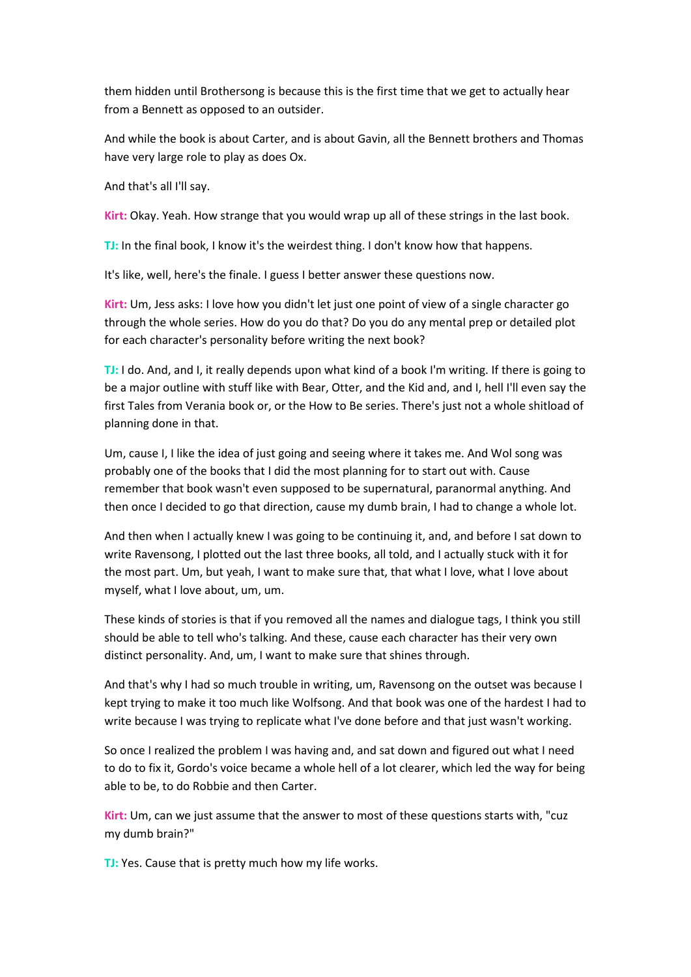them hidden until Brothersong is because this is the first time that we get to actually hear from a Bennett as opposed to an outsider.

And while the book is about Carter, and is about Gavin, all the Bennett brothers and Thomas have very large role to play as does Ox.

And that's all I'll say.

**Kirt:** Okay. Yeah. How strange that you would wrap up all of these strings in the last book.

**TJ:** In the final book, I know it's the weirdest thing. I don't know how that happens.

It's like, well, here's the finale. I guess I better answer these questions now.

**Kirt:** Um, Jess asks: I love how you didn't let just one point of view of a single character go through the whole series. How do you do that? Do you do any mental prep or detailed plot for each character's personality before writing the next book?

**TJ:** I do. And, and I, it really depends upon what kind of a book I'm writing. If there is going to be a major outline with stuff like with Bear, Otter, and the Kid and, and I, hell I'll even say the first Tales from Verania book or, or the How to Be series. There's just not a whole shitload of planning done in that.

Um, cause I, I like the idea of just going and seeing where it takes me. And Wol song was probably one of the books that I did the most planning for to start out with. Cause remember that book wasn't even supposed to be supernatural, paranormal anything. And then once I decided to go that direction, cause my dumb brain, I had to change a whole lot.

And then when I actually knew I was going to be continuing it, and, and before I sat down to write Ravensong, I plotted out the last three books, all told, and I actually stuck with it for the most part. Um, but yeah, I want to make sure that, that what I love, what I love about myself, what I love about, um, um.

These kinds of stories is that if you removed all the names and dialogue tags, I think you still should be able to tell who's talking. And these, cause each character has their very own distinct personality. And, um, I want to make sure that shines through.

And that's why I had so much trouble in writing, um, Ravensong on the outset was because I kept trying to make it too much like Wolfsong. And that book was one of the hardest I had to write because I was trying to replicate what I've done before and that just wasn't working.

So once I realized the problem I was having and, and sat down and figured out what I need to do to fix it, Gordo's voice became a whole hell of a lot clearer, which led the way for being able to be, to do Robbie and then Carter.

**Kirt:** Um, can we just assume that the answer to most of these questions starts with, "cuz my dumb brain?"

**TJ:** Yes. Cause that is pretty much how my life works.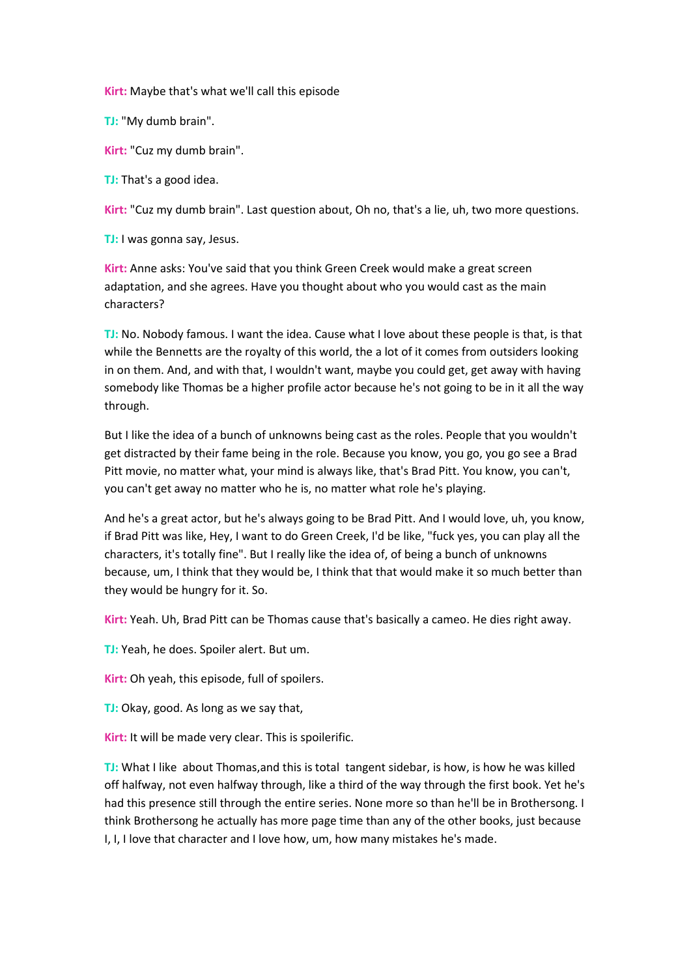**Kirt:** Maybe that's what we'll call this episode

**TJ:** "My dumb brain".

**Kirt:** "Cuz my dumb brain".

**TJ:** That's a good idea.

**Kirt:** "Cuz my dumb brain". Last question about, Oh no, that's a lie, uh, two more questions.

**TJ:** I was gonna say, Jesus.

**Kirt:** Anne asks: You've said that you think Green Creek would make a great screen adaptation, and she agrees. Have you thought about who you would cast as the main characters?

**TJ:** No. Nobody famous. I want the idea. Cause what I love about these people is that, is that while the Bennetts are the royalty of this world, the a lot of it comes from outsiders looking in on them. And, and with that, I wouldn't want, maybe you could get, get away with having somebody like Thomas be a higher profile actor because he's not going to be in it all the way through.

But I like the idea of a bunch of unknowns being cast as the roles. People that you wouldn't get distracted by their fame being in the role. Because you know, you go, you go see a Brad Pitt movie, no matter what, your mind is always like, that's Brad Pitt. You know, you can't, you can't get away no matter who he is, no matter what role he's playing.

And he's a great actor, but he's always going to be Brad Pitt. And I would love, uh, you know, if Brad Pitt was like, Hey, I want to do Green Creek, I'd be like, "fuck yes, you can play all the characters, it's totally fine". But I really like the idea of, of being a bunch of unknowns because, um, I think that they would be, I think that that would make it so much better than they would be hungry for it. So.

**Kirt:** Yeah. Uh, Brad Pitt can be Thomas cause that's basically a cameo. He dies right away.

**TJ:** Yeah, he does. Spoiler alert. But um.

**Kirt:** Oh yeah, this episode, full of spoilers.

**TJ:** Okay, good. As long as we say that,

**Kirt:** It will be made very clear. This is spoilerific.

**TJ:** What I like about Thomas,and this is total tangent sidebar, is how, is how he was killed off halfway, not even halfway through, like a third of the way through the first book. Yet he's had this presence still through the entire series. None more so than he'll be in Brothersong. I think Brothersong he actually has more page time than any of the other books, just because I, I, I love that character and I love how, um, how many mistakes he's made.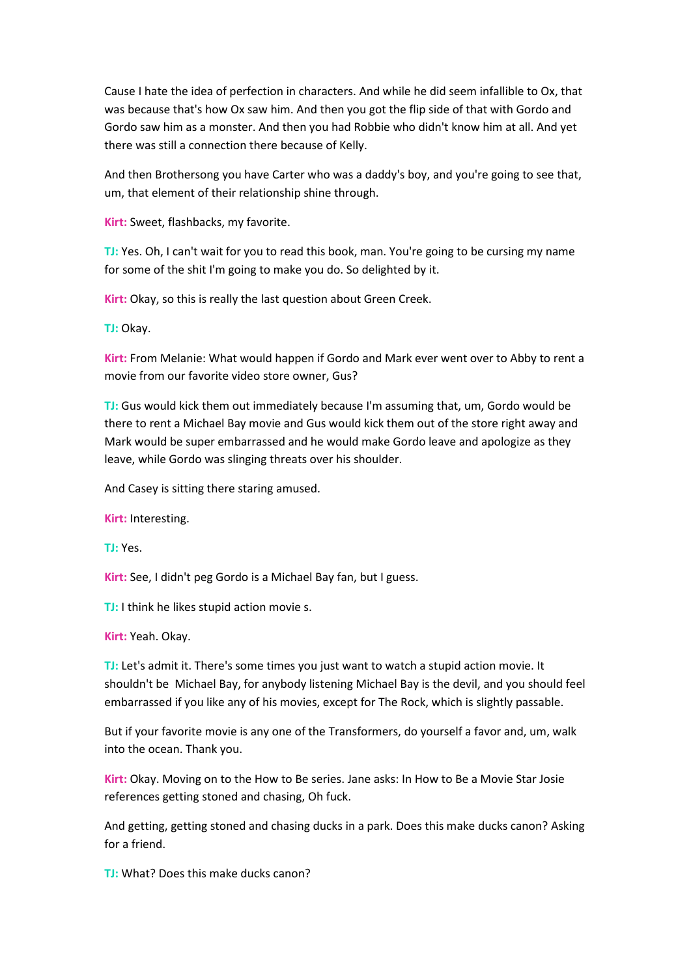Cause I hate the idea of perfection in characters. And while he did seem infallible to Ox, that was because that's how Ox saw him. And then you got the flip side of that with Gordo and Gordo saw him as a monster. And then you had Robbie who didn't know him at all. And yet there was still a connection there because of Kelly.

And then Brothersong you have Carter who was a daddy's boy, and you're going to see that, um, that element of their relationship shine through.

**Kirt:** Sweet, flashbacks, my favorite.

**TJ:** Yes. Oh, I can't wait for you to read this book, man. You're going to be cursing my name for some of the shit I'm going to make you do. So delighted by it.

**Kirt:** Okay, so this is really the last question about Green Creek.

**TJ:** Okay.

**Kirt:** From Melanie: What would happen if Gordo and Mark ever went over to Abby to rent a movie from our favorite video store owner, Gus?

**TJ:** Gus would kick them out immediately because I'm assuming that, um, Gordo would be there to rent a Michael Bay movie and Gus would kick them out of the store right away and Mark would be super embarrassed and he would make Gordo leave and apologize as they leave, while Gordo was slinging threats over his shoulder.

And Casey is sitting there staring amused.

**Kirt:** Interesting.

**TJ:** Yes.

**Kirt:** See, I didn't peg Gordo is a Michael Bay fan, but I guess.

**TJ:** I think he likes stupid action movie s.

**Kirt:** Yeah. Okay.

**TJ:** Let's admit it. There's some times you just want to watch a stupid action movie. It shouldn't be Michael Bay, for anybody listening Michael Bay is the devil, and you should feel embarrassed if you like any of his movies, except for The Rock, which is slightly passable.

But if your favorite movie is any one of the Transformers, do yourself a favor and, um, walk into the ocean. Thank you.

**Kirt:** Okay. Moving on to the How to Be series. Jane asks: In How to Be a Movie Star Josie references getting stoned and chasing, Oh fuck.

And getting, getting stoned and chasing ducks in a park. Does this make ducks canon? Asking for a friend.

**TJ:** What? Does this make ducks canon?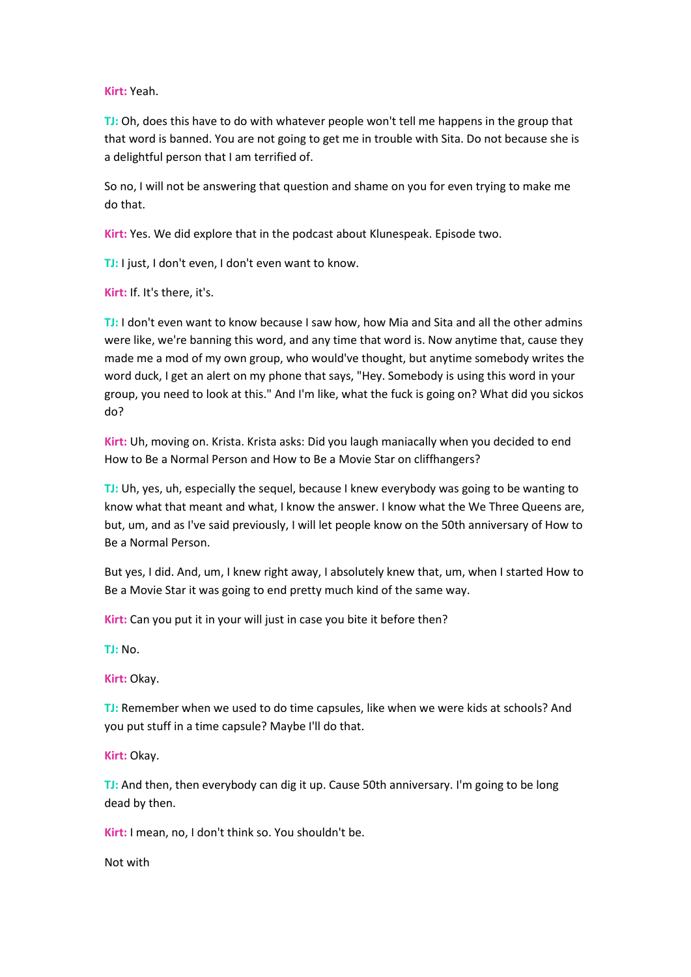**Kirt:** Yeah.

**TJ:** Oh, does this have to do with whatever people won't tell me happens in the group that that word is banned. You are not going to get me in trouble with Sita. Do not because she is a delightful person that I am terrified of.

So no, I will not be answering that question and shame on you for even trying to make me do that.

**Kirt:** Yes. We did explore that in the podcast about Klunespeak. Episode two.

**TJ:** I just, I don't even, I don't even want to know.

**Kirt:** If. It's there, it's.

**TJ:** I don't even want to know because I saw how, how Mia and Sita and all the other admins were like, we're banning this word, and any time that word is. Now anytime that, cause they made me a mod of my own group, who would've thought, but anytime somebody writes the word duck, I get an alert on my phone that says, "Hey. Somebody is using this word in your group, you need to look at this." And I'm like, what the fuck is going on? What did you sickos do?

**Kirt:** Uh, moving on. Krista. Krista asks: Did you laugh maniacally when you decided to end How to Be a Normal Person and How to Be a Movie Star on cliffhangers?

**TJ:** Uh, yes, uh, especially the sequel, because I knew everybody was going to be wanting to know what that meant and what, I know the answer. I know what the We Three Queens are, but, um, and as I've said previously, I will let people know on the 50th anniversary of How to Be a Normal Person.

But yes, I did. And, um, I knew right away, I absolutely knew that, um, when I started How to Be a Movie Star it was going to end pretty much kind of the same way.

**Kirt:** Can you put it in your will just in case you bite it before then?

**TJ:** No.

**Kirt:** Okay.

**TJ:** Remember when we used to do time capsules, like when we were kids at schools? And you put stuff in a time capsule? Maybe I'll do that.

**Kirt:** Okay.

**TJ:** And then, then everybody can dig it up. Cause 50th anniversary. I'm going to be long dead by then.

**Kirt:** I mean, no, I don't think so. You shouldn't be.

Not with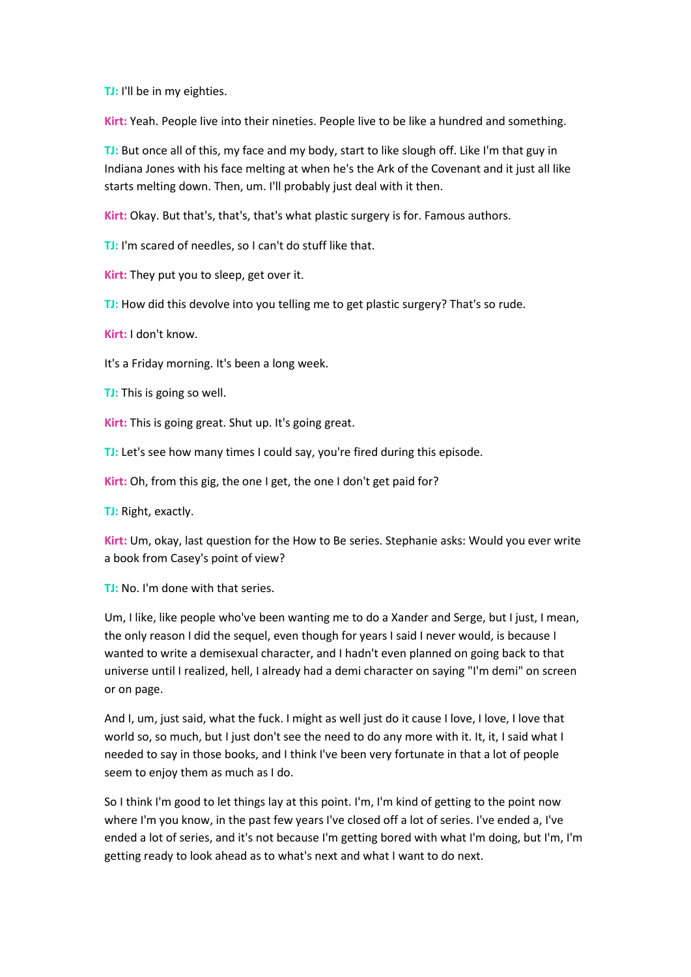**TJ:** I'll be in my eighties.

**Kirt:** Yeah. People live into their nineties. People live to be like a hundred and something.

**TJ:** But once all of this, my face and my body, start to like slough off. Like I'm that guy in Indiana Jones with his face melting at when he's the Ark of the Covenant and it just all like starts melting down. Then, um. I'll probably just deal with it then.

**Kirt:** Okay. But that's, that's, that's what plastic surgery is for. Famous authors.

**TJ:** I'm scared of needles, so I can't do stuff like that.

**Kirt:** They put you to sleep, get over it.

**TJ:** How did this devolve into you telling me to get plastic surgery? That's so rude.

**Kirt:** I don't know.

It's a Friday morning. It's been a long week.

**TJ:** This is going so well.

**Kirt:** This is going great. Shut up. It's going great.

**TJ:** Let's see how many times I could say, you're fired during this episode.

**Kirt:** Oh, from this gig, the one I get, the one I don't get paid for?

**TJ:** Right, exactly.

**Kirt:** Um, okay, last question for the How to Be series. Stephanie asks: Would you ever write a book from Casey's point of view?

**TJ:** No. I'm done with that series.

Um, I like, like people who've been wanting me to do a Xander and Serge, but I just, I mean, the only reason I did the sequel, even though for years I said I never would, is because I wanted to write a demisexual character, and I hadn't even planned on going back to that universe until I realized, hell, I already had a demi character on saying "I'm demi" on screen or on page.

And I, um, just said, what the fuck. I might as well just do it cause I love, I love, I love that world so, so much, but I just don't see the need to do any more with it. It, it, I said what I needed to say in those books, and I think I've been very fortunate in that a lot of people seem to enjoy them as much as I do.

So I think I'm good to let things lay at this point. I'm, I'm kind of getting to the point now where I'm you know, in the past few years I've closed off a lot of series. I've ended a, I've ended a lot of series, and it's not because I'm getting bored with what I'm doing, but I'm, I'm getting ready to look ahead as to what's next and what I want to do next.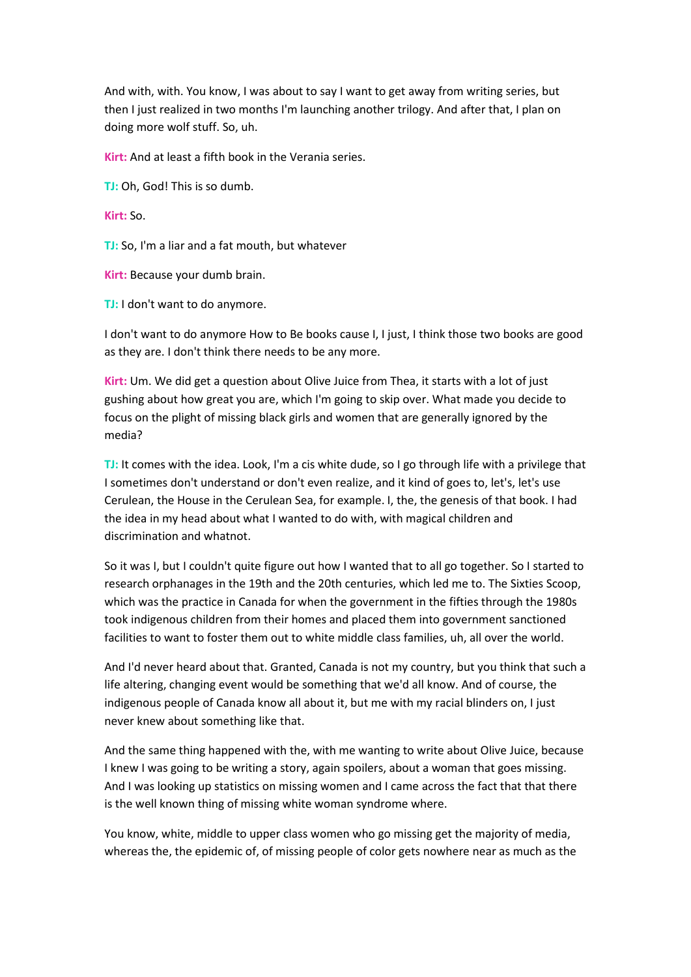And with, with. You know, I was about to say I want to get away from writing series, but then I just realized in two months I'm launching another trilogy. And after that, I plan on doing more wolf stuff. So, uh.

**Kirt:** And at least a fifth book in the Verania series.

**TJ:** Oh, God! This is so dumb.

**Kirt:** So.

**TJ:** So, I'm a liar and a fat mouth, but whatever

**Kirt:** Because your dumb brain.

**TJ:** I don't want to do anymore.

I don't want to do anymore How to Be books cause I, I just, I think those two books are good as they are. I don't think there needs to be any more.

**Kirt:** Um. We did get a question about Olive Juice from Thea, it starts with a lot of just gushing about how great you are, which I'm going to skip over. What made you decide to focus on the plight of missing black girls and women that are generally ignored by the media?

**TJ:** It comes with the idea. Look, I'm a cis white dude, so I go through life with a privilege that I sometimes don't understand or don't even realize, and it kind of goes to, let's, let's use Cerulean, the House in the Cerulean Sea, for example. I, the, the genesis of that book. I had the idea in my head about what I wanted to do with, with magical children and discrimination and whatnot.

So it was I, but I couldn't quite figure out how I wanted that to all go together. So I started to research orphanages in the 19th and the 20th centuries, which led me to. The Sixties Scoop, which was the practice in Canada for when the government in the fifties through the 1980s took indigenous children from their homes and placed them into government sanctioned facilities to want to foster them out to white middle class families, uh, all over the world.

And I'd never heard about that. Granted, Canada is not my country, but you think that such a life altering, changing event would be something that we'd all know. And of course, the indigenous people of Canada know all about it, but me with my racial blinders on, I just never knew about something like that.

And the same thing happened with the, with me wanting to write about Olive Juice, because I knew I was going to be writing a story, again spoilers, about a woman that goes missing. And I was looking up statistics on missing women and I came across the fact that that there is the well known thing of missing white woman syndrome where.

You know, white, middle to upper class women who go missing get the majority of media, whereas the, the epidemic of, of missing people of color gets nowhere near as much as the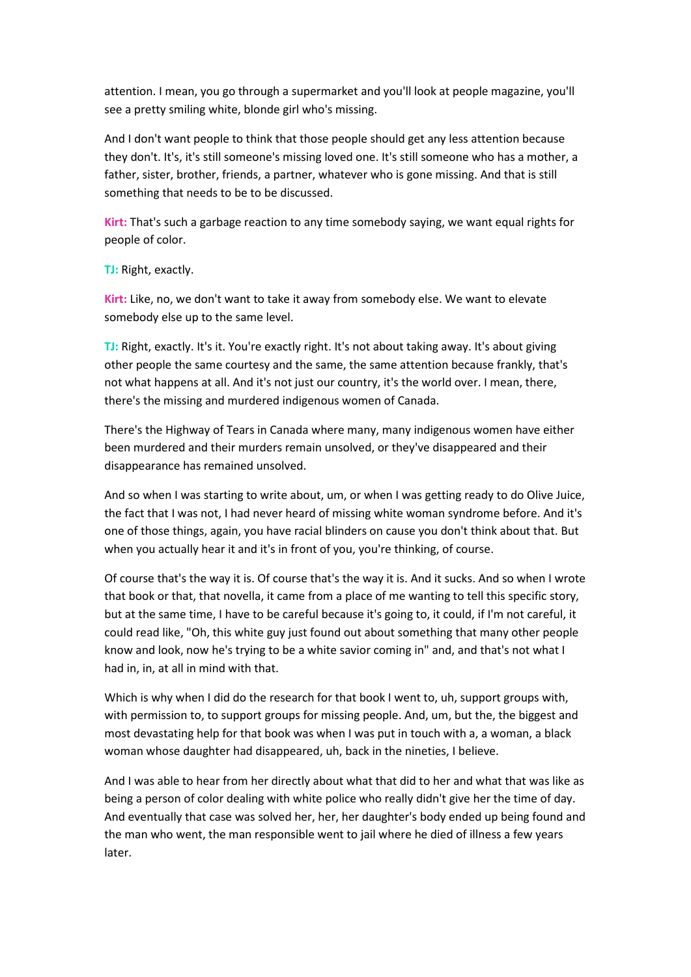attention. I mean, you go through a supermarket and you'll look at people magazine, you'll see a pretty smiling white, blonde girl who's missing.

And I don't want people to think that those people should get any less attention because they don't. It's, it's still someone's missing loved one. It's still someone who has a mother, a father, sister, brother, friends, a partner, whatever who is gone missing. And that is still something that needs to be to be discussed.

**Kirt:** That's such a garbage reaction to any time somebody saying, we want equal rights for people of color.

**TJ:** Right, exactly.

**Kirt:** Like, no, we don't want to take it away from somebody else. We want to elevate somebody else up to the same level.

**TJ:** Right, exactly. It's it. You're exactly right. It's not about taking away. It's about giving other people the same courtesy and the same, the same attention because frankly, that's not what happens at all. And it's not just our country, it's the world over. I mean, there, there's the missing and murdered indigenous women of Canada.

There's the Highway of Tears in Canada where many, many indigenous women have either been murdered and their murders remain unsolved, or they've disappeared and their disappearance has remained unsolved.

And so when I was starting to write about, um, or when I was getting ready to do Olive Juice, the fact that I was not, I had never heard of missing white woman syndrome before. And it's one of those things, again, you have racial blinders on cause you don't think about that. But when you actually hear it and it's in front of you, you're thinking, of course.

Of course that's the way it is. Of course that's the way it is. And it sucks. And so when I wrote that book or that, that novella, it came from a place of me wanting to tell this specific story, but at the same time, I have to be careful because it's going to, it could, if I'm not careful, it could read like, "Oh, this white guy just found out about something that many other people know and look, now he's trying to be a white savior coming in" and, and that's not what I had in, in, at all in mind with that.

Which is why when I did do the research for that book I went to, uh, support groups with, with permission to, to support groups for missing people. And, um, but the, the biggest and most devastating help for that book was when I was put in touch with a, a woman, a black woman whose daughter had disappeared, uh, back in the nineties, I believe.

And I was able to hear from her directly about what that did to her and what that was like as being a person of color dealing with white police who really didn't give her the time of day. And eventually that case was solved her, her, her daughter's body ended up being found and the man who went, the man responsible went to jail where he died of illness a few years later.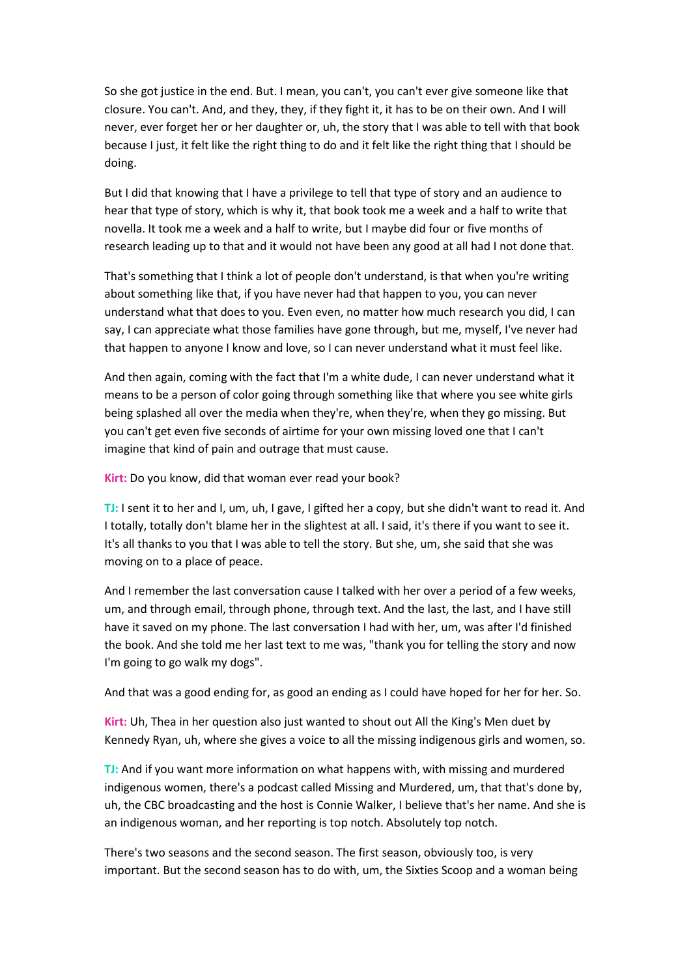So she got justice in the end. But. I mean, you can't, you can't ever give someone like that closure. You can't. And, and they, they, if they fight it, it has to be on their own. And I will never, ever forget her or her daughter or, uh, the story that I was able to tell with that book because I just, it felt like the right thing to do and it felt like the right thing that I should be doing.

But I did that knowing that I have a privilege to tell that type of story and an audience to hear that type of story, which is why it, that book took me a week and a half to write that novella. It took me a week and a half to write, but I maybe did four or five months of research leading up to that and it would not have been any good at all had I not done that.

That's something that I think a lot of people don't understand, is that when you're writing about something like that, if you have never had that happen to you, you can never understand what that does to you. Even even, no matter how much research you did, I can say, I can appreciate what those families have gone through, but me, myself, I've never had that happen to anyone I know and love, so I can never understand what it must feel like.

And then again, coming with the fact that I'm a white dude, I can never understand what it means to be a person of color going through something like that where you see white girls being splashed all over the media when they're, when they're, when they go missing. But you can't get even five seconds of airtime for your own missing loved one that I can't imagine that kind of pain and outrage that must cause.

**Kirt:** Do you know, did that woman ever read your book?

**TJ:** I sent it to her and I, um, uh, I gave, I gifted her a copy, but she didn't want to read it. And I totally, totally don't blame her in the slightest at all. I said, it's there if you want to see it. It's all thanks to you that I was able to tell the story. But she, um, she said that she was moving on to a place of peace.

And I remember the last conversation cause I talked with her over a period of a few weeks, um, and through email, through phone, through text. And the last, the last, and I have still have it saved on my phone. The last conversation I had with her, um, was after I'd finished the book. And she told me her last text to me was, "thank you for telling the story and now I'm going to go walk my dogs".

And that was a good ending for, as good an ending as I could have hoped for her for her. So.

**Kirt:** Uh, Thea in her question also just wanted to shout out All the King's Men duet by Kennedy Ryan, uh, where she gives a voice to all the missing indigenous girls and women, so.

**TJ:** And if you want more information on what happens with, with missing and murdered indigenous women, there's a podcast called Missing and Murdered, um, that that's done by, uh, the CBC broadcasting and the host is Connie Walker, I believe that's her name. And she is an indigenous woman, and her reporting is top notch. Absolutely top notch.

There's two seasons and the second season. The first season, obviously too, is very important. But the second season has to do with, um, the Sixties Scoop and a woman being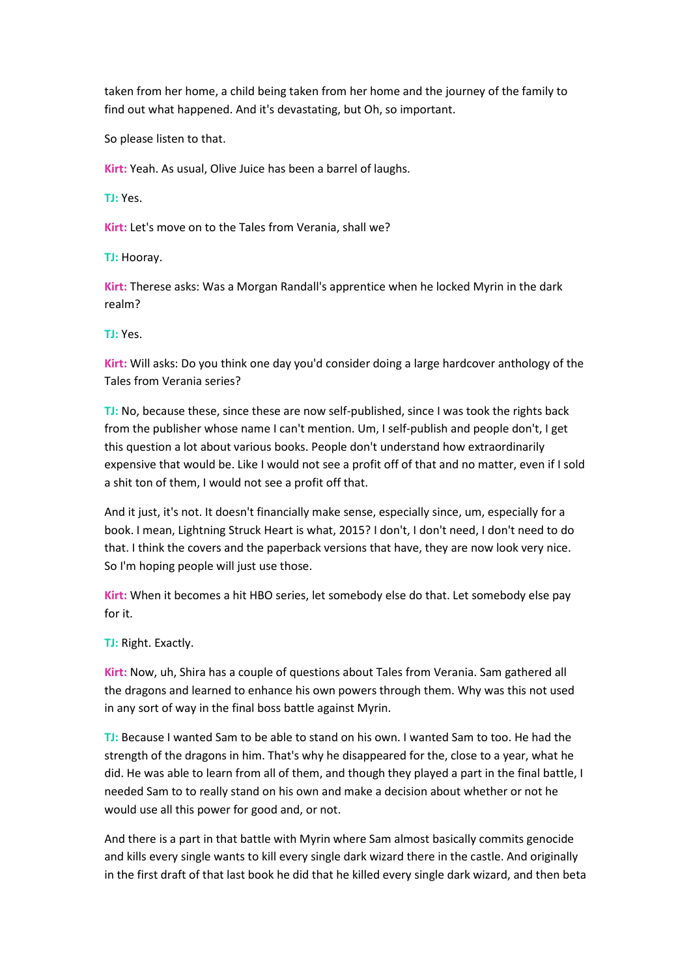taken from her home, a child being taken from her home and the journey of the family to find out what happened. And it's devastating, but Oh, so important.

So please listen to that.

**Kirt:** Yeah. As usual, Olive Juice has been a barrel of laughs.

**TJ:** Yes.

**Kirt:** Let's move on to the Tales from Verania, shall we?

**TJ:** Hooray.

**Kirt:** Therese asks: Was a Morgan Randall's apprentice when he locked Myrin in the dark realm?

**TJ:** Yes.

**Kirt:** Will asks: Do you think one day you'd consider doing a large hardcover anthology of the Tales from Verania series?

**TJ:** No, because these, since these are now self-published, since I was took the rights back from the publisher whose name I can't mention. Um, I self-publish and people don't, I get this question a lot about various books. People don't understand how extraordinarily expensive that would be. Like I would not see a profit off of that and no matter, even if I sold a shit ton of them, I would not see a profit off that.

And it just, it's not. It doesn't financially make sense, especially since, um, especially for a book. I mean, Lightning Struck Heart is what, 2015? I don't, I don't need, I don't need to do that. I think the covers and the paperback versions that have, they are now look very nice. So I'm hoping people will just use those.

**Kirt:** When it becomes a hit HBO series, let somebody else do that. Let somebody else pay for it.

**TJ:** Right. Exactly.

**Kirt:** Now, uh, Shira has a couple of questions about Tales from Verania. Sam gathered all the dragons and learned to enhance his own powers through them. Why was this not used in any sort of way in the final boss battle against Myrin.

**TJ:** Because I wanted Sam to be able to stand on his own. I wanted Sam to too. He had the strength of the dragons in him. That's why he disappeared for the, close to a year, what he did. He was able to learn from all of them, and though they played a part in the final battle, I needed Sam to to really stand on his own and make a decision about whether or not he would use all this power for good and, or not.

And there is a part in that battle with Myrin where Sam almost basically commits genocide and kills every single wants to kill every single dark wizard there in the castle. And originally in the first draft of that last book he did that he killed every single dark wizard, and then beta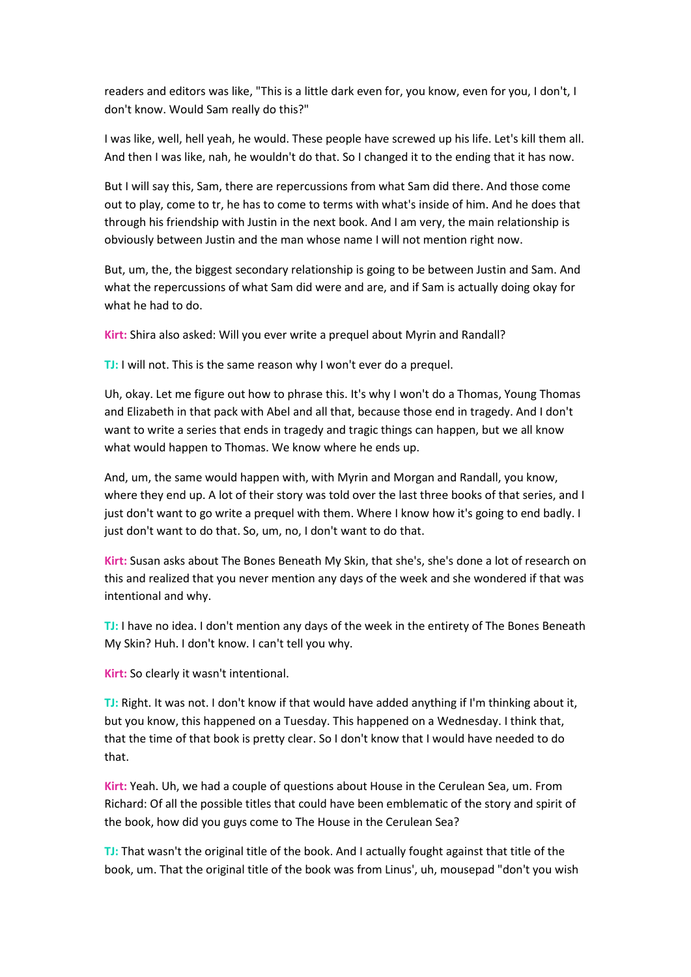readers and editors was like, "This is a little dark even for, you know, even for you, I don't, I don't know. Would Sam really do this?"

I was like, well, hell yeah, he would. These people have screwed up his life. Let's kill them all. And then I was like, nah, he wouldn't do that. So I changed it to the ending that it has now.

But I will say this, Sam, there are repercussions from what Sam did there. And those come out to play, come to tr, he has to come to terms with what's inside of him. And he does that through his friendship with Justin in the next book. And I am very, the main relationship is obviously between Justin and the man whose name I will not mention right now.

But, um, the, the biggest secondary relationship is going to be between Justin and Sam. And what the repercussions of what Sam did were and are, and if Sam is actually doing okay for what he had to do.

**Kirt:** Shira also asked: Will you ever write a prequel about Myrin and Randall?

**TJ:** I will not. This is the same reason why I won't ever do a prequel.

Uh, okay. Let me figure out how to phrase this. It's why I won't do a Thomas, Young Thomas and Elizabeth in that pack with Abel and all that, because those end in tragedy. And I don't want to write a series that ends in tragedy and tragic things can happen, but we all know what would happen to Thomas. We know where he ends up.

And, um, the same would happen with, with Myrin and Morgan and Randall, you know, where they end up. A lot of their story was told over the last three books of that series, and I just don't want to go write a prequel with them. Where I know how it's going to end badly. I just don't want to do that. So, um, no, I don't want to do that.

**Kirt:** Susan asks about The Bones Beneath My Skin, that she's, she's done a lot of research on this and realized that you never mention any days of the week and she wondered if that was intentional and why.

**TJ:** I have no idea. I don't mention any days of the week in the entirety of The Bones Beneath My Skin? Huh. I don't know. I can't tell you why.

**Kirt:** So clearly it wasn't intentional.

**TJ:** Right. It was not. I don't know if that would have added anything if I'm thinking about it, but you know, this happened on a Tuesday. This happened on a Wednesday. I think that, that the time of that book is pretty clear. So I don't know that I would have needed to do that.

**Kirt:** Yeah. Uh, we had a couple of questions about House in the Cerulean Sea, um. From Richard: Of all the possible titles that could have been emblematic of the story and spirit of the book, how did you guys come to The House in the Cerulean Sea?

**TJ:** That wasn't the original title of the book. And I actually fought against that title of the book, um. That the original title of the book was from Linus', uh, mousepad "don't you wish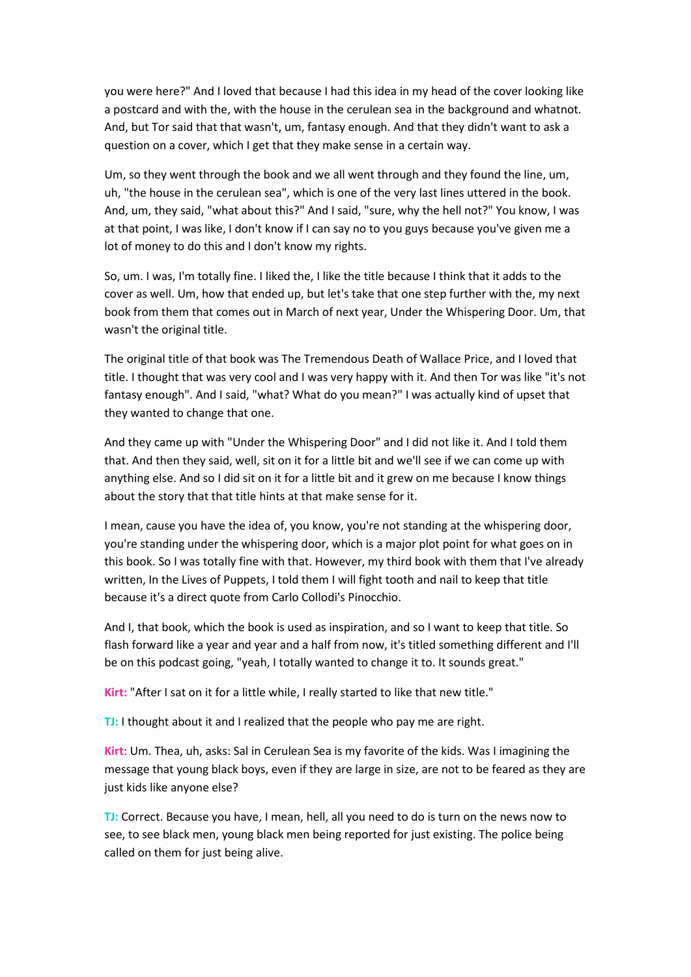you were here?" And I loved that because I had this idea in my head of the cover looking like a postcard and with the, with the house in the cerulean sea in the background and whatnot. And, but Tor said that that wasn't, um, fantasy enough. And that they didn't want to ask a question on a cover, which I get that they make sense in a certain way.

Um, so they went through the book and we all went through and they found the line, um, uh, "the house in the cerulean sea", which is one of the very last lines uttered in the book. And, um, they said, "what about this?" And I said, "sure, why the hell not?" You know, I was at that point, I was like, I don't know if I can say no to you guys because you've given me a lot of money to do this and I don't know my rights.

So, um. I was, I'm totally fine. I liked the, I like the title because I think that it adds to the cover as well. Um, how that ended up, but let's take that one step further with the, my next book from them that comes out in March of next year, Under the Whispering Door. Um, that wasn't the original title.

The original title of that book was The Tremendous Death of Wallace Price, and I loved that title. I thought that was very cool and I was very happy with it. And then Tor was like "it's not fantasy enough". And I said, "what? What do you mean?" I was actually kind of upset that they wanted to change that one.

And they came up with "Under the Whispering Door" and I did not like it. And I told them that. And then they said, well, sit on it for a little bit and we'll see if we can come up with anything else. And so I did sit on it for a little bit and it grew on me because I know things about the story that that title hints at that make sense for it.

I mean, cause you have the idea of, you know, you're not standing at the whispering door, you're standing under the whispering door, which is a major plot point for what goes on in this book. So I was totally fine with that. However, my third book with them that I've already written, In the Lives of Puppets, I told them I will fight tooth and nail to keep that title because it's a direct quote from Carlo Collodi's Pinocchio.

And I, that book, which the book is used as inspiration, and so I want to keep that title. So flash forward like a year and year and a half from now, it's titled something different and I'll be on this podcast going, "yeah, I totally wanted to change it to. It sounds great."

**Kirt:** "After I sat on it for a little while, I really started to like that new title."

**TJ:** I thought about it and I realized that the people who pay me are right.

**Kirt:** Um. Thea, uh, asks: Sal in Cerulean Sea is my favorite of the kids. Was I imagining the message that young black boys, even if they are large in size, are not to be feared as they are just kids like anyone else?

**TJ:** Correct. Because you have, I mean, hell, all you need to do is turn on the news now to see, to see black men, young black men being reported for just existing. The police being called on them for just being alive.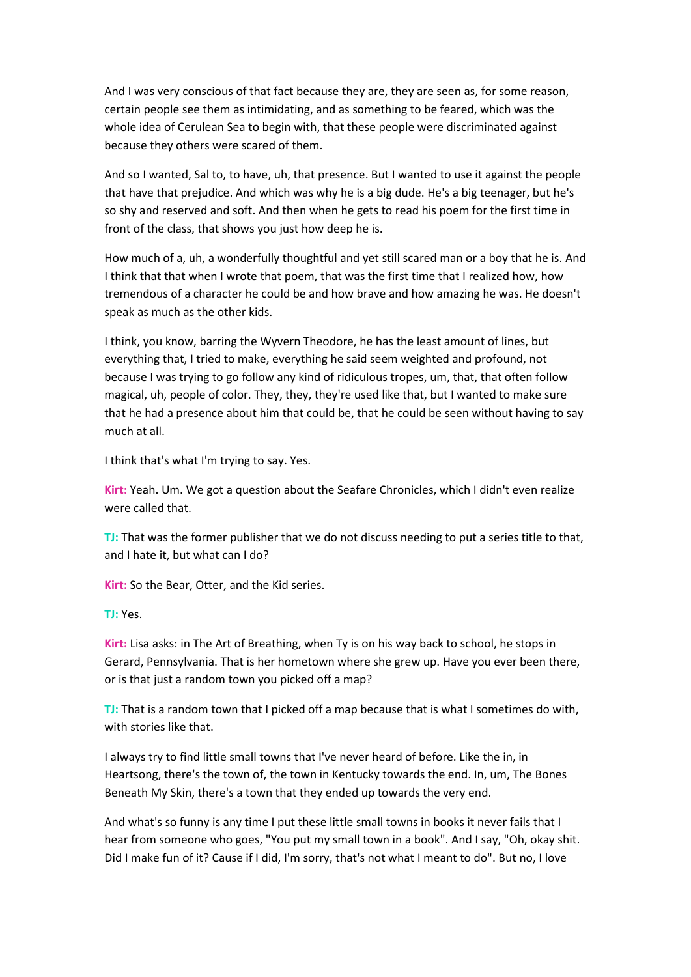And I was very conscious of that fact because they are, they are seen as, for some reason, certain people see them as intimidating, and as something to be feared, which was the whole idea of Cerulean Sea to begin with, that these people were discriminated against because they others were scared of them.

And so I wanted, Sal to, to have, uh, that presence. But I wanted to use it against the people that have that prejudice. And which was why he is a big dude. He's a big teenager, but he's so shy and reserved and soft. And then when he gets to read his poem for the first time in front of the class, that shows you just how deep he is.

How much of a, uh, a wonderfully thoughtful and yet still scared man or a boy that he is. And I think that that when I wrote that poem, that was the first time that I realized how, how tremendous of a character he could be and how brave and how amazing he was. He doesn't speak as much as the other kids.

I think, you know, barring the Wyvern Theodore, he has the least amount of lines, but everything that, I tried to make, everything he said seem weighted and profound, not because I was trying to go follow any kind of ridiculous tropes, um, that, that often follow magical, uh, people of color. They, they, they're used like that, but I wanted to make sure that he had a presence about him that could be, that he could be seen without having to say much at all.

I think that's what I'm trying to say. Yes.

**Kirt:** Yeah. Um. We got a question about the Seafare Chronicles, which I didn't even realize were called that.

**TJ:** That was the former publisher that we do not discuss needing to put a series title to that, and I hate it, but what can I do?

**Kirt:** So the Bear, Otter, and the Kid series.

**TJ:** Yes.

**Kirt:** Lisa asks: in The Art of Breathing, when Ty is on his way back to school, he stops in Gerard, Pennsylvania. That is her hometown where she grew up. Have you ever been there, or is that just a random town you picked off a map?

**TJ:** That is a random town that I picked off a map because that is what I sometimes do with, with stories like that.

I always try to find little small towns that I've never heard of before. Like the in, in Heartsong, there's the town of, the town in Kentucky towards the end. In, um, The Bones Beneath My Skin, there's a town that they ended up towards the very end.

And what's so funny is any time I put these little small towns in books it never fails that I hear from someone who goes, "You put my small town in a book". And I say, "Oh, okay shit. Did I make fun of it? Cause if I did, I'm sorry, that's not what I meant to do". But no, I love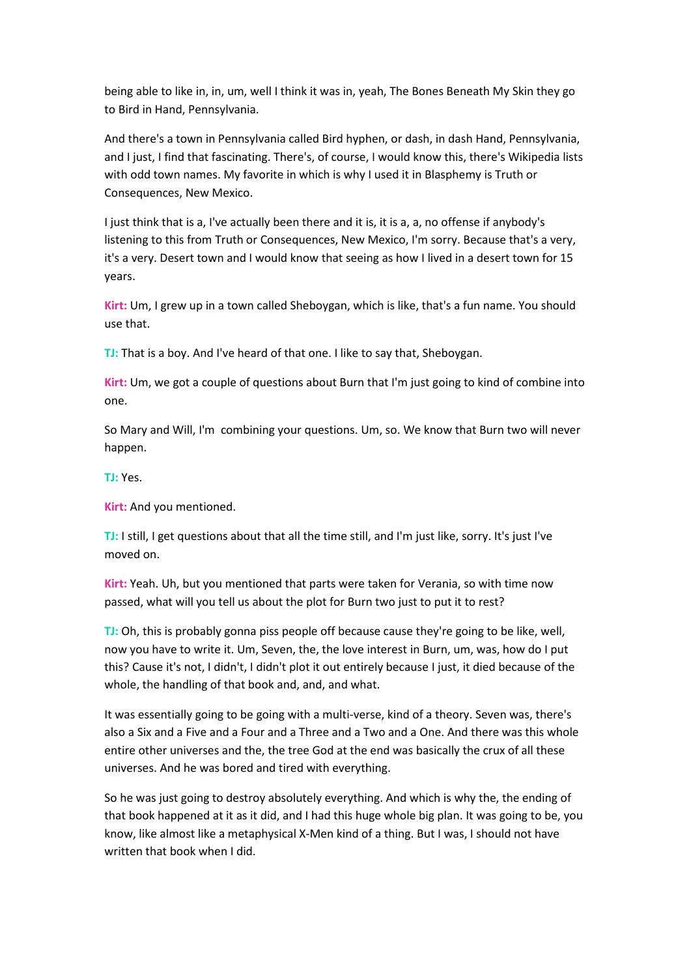being able to like in, in, um, well I think it was in, yeah, The Bones Beneath My Skin they go to Bird in Hand, Pennsylvania.

And there's a town in Pennsylvania called Bird hyphen, or dash, in dash Hand, Pennsylvania, and I just, I find that fascinating. There's, of course, I would know this, there's Wikipedia lists with odd town names. My favorite in which is why I used it in Blasphemy is Truth or Consequences, New Mexico.

I just think that is a, I've actually been there and it is, it is a, a, no offense if anybody's listening to this from Truth or Consequences, New Mexico, I'm sorry. Because that's a very, it's a very. Desert town and I would know that seeing as how I lived in a desert town for 15 years.

**Kirt:** Um, I grew up in a town called Sheboygan, which is like, that's a fun name. You should use that.

**TJ:** That is a boy. And I've heard of that one. I like to say that, Sheboygan.

**Kirt:** Um, we got a couple of questions about Burn that I'm just going to kind of combine into one.

So Mary and Will, I'm combining your questions. Um, so. We know that Burn two will never happen.

**TJ:** Yes.

**Kirt:** And you mentioned.

**TJ:** I still, I get questions about that all the time still, and I'm just like, sorry. It's just I've moved on.

**Kirt:** Yeah. Uh, but you mentioned that parts were taken for Verania, so with time now passed, what will you tell us about the plot for Burn two just to put it to rest?

**TJ:** Oh, this is probably gonna piss people off because cause they're going to be like, well, now you have to write it. Um, Seven, the, the love interest in Burn, um, was, how do I put this? Cause it's not, I didn't, I didn't plot it out entirely because I just, it died because of the whole, the handling of that book and, and, and what.

It was essentially going to be going with a multi-verse, kind of a theory. Seven was, there's also a Six and a Five and a Four and a Three and a Two and a One. And there was this whole entire other universes and the, the tree God at the end was basically the crux of all these universes. And he was bored and tired with everything.

So he was just going to destroy absolutely everything. And which is why the, the ending of that book happened at it as it did, and I had this huge whole big plan. It was going to be, you know, like almost like a metaphysical X-Men kind of a thing. But I was, I should not have written that book when I did.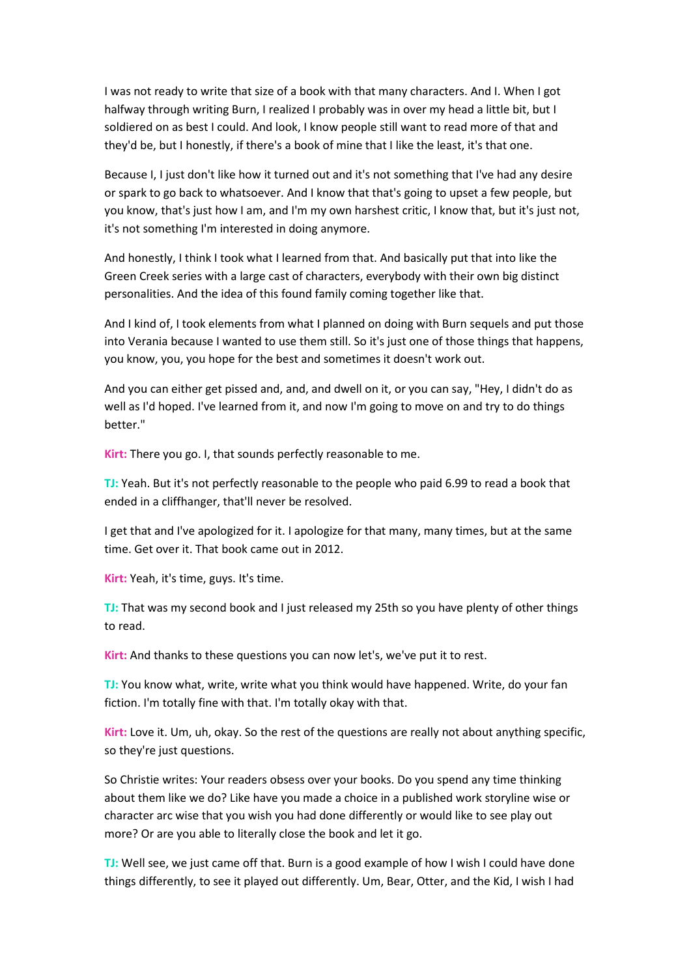I was not ready to write that size of a book with that many characters. And I. When I got halfway through writing Burn, I realized I probably was in over my head a little bit, but I soldiered on as best I could. And look, I know people still want to read more of that and they'd be, but I honestly, if there's a book of mine that I like the least, it's that one.

Because I, I just don't like how it turned out and it's not something that I've had any desire or spark to go back to whatsoever. And I know that that's going to upset a few people, but you know, that's just how I am, and I'm my own harshest critic, I know that, but it's just not, it's not something I'm interested in doing anymore.

And honestly, I think I took what I learned from that. And basically put that into like the Green Creek series with a large cast of characters, everybody with their own big distinct personalities. And the idea of this found family coming together like that.

And I kind of, I took elements from what I planned on doing with Burn sequels and put those into Verania because I wanted to use them still. So it's just one of those things that happens, you know, you, you hope for the best and sometimes it doesn't work out.

And you can either get pissed and, and, and dwell on it, or you can say, "Hey, I didn't do as well as I'd hoped. I've learned from it, and now I'm going to move on and try to do things better."

**Kirt:** There you go. I, that sounds perfectly reasonable to me.

**TJ:** Yeah. But it's not perfectly reasonable to the people who paid 6.99 to read a book that ended in a cliffhanger, that'll never be resolved.

I get that and I've apologized for it. I apologize for that many, many times, but at the same time. Get over it. That book came out in 2012.

**Kirt:** Yeah, it's time, guys. It's time.

**TJ:** That was my second book and I just released my 25th so you have plenty of other things to read.

**Kirt:** And thanks to these questions you can now let's, we've put it to rest.

**TJ:** You know what, write, write what you think would have happened. Write, do your fan fiction. I'm totally fine with that. I'm totally okay with that.

**Kirt:** Love it. Um, uh, okay. So the rest of the questions are really not about anything specific, so they're just questions.

So Christie writes: Your readers obsess over your books. Do you spend any time thinking about them like we do? Like have you made a choice in a published work storyline wise or character arc wise that you wish you had done differently or would like to see play out more? Or are you able to literally close the book and let it go.

**TJ:** Well see, we just came off that. Burn is a good example of how I wish I could have done things differently, to see it played out differently. Um, Bear, Otter, and the Kid, I wish I had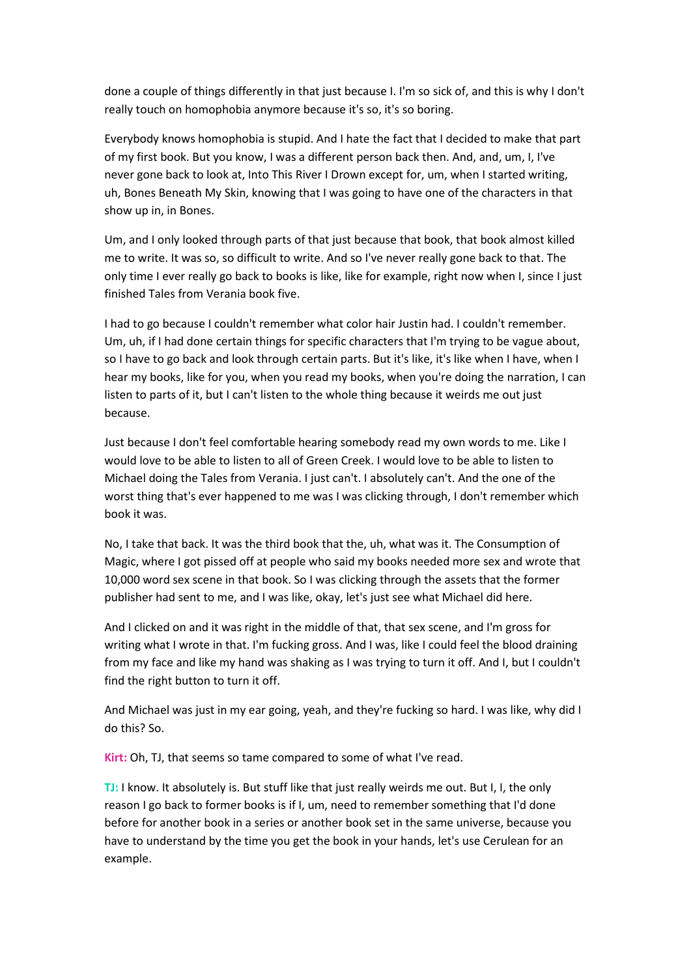done a couple of things differently in that just because I. I'm so sick of, and this is why I don't really touch on homophobia anymore because it's so, it's so boring.

Everybody knows homophobia is stupid. And I hate the fact that I decided to make that part of my first book. But you know, I was a different person back then. And, and, um, I, I've never gone back to look at, Into This River I Drown except for, um, when I started writing, uh, Bones Beneath My Skin, knowing that I was going to have one of the characters in that show up in, in Bones.

Um, and I only looked through parts of that just because that book, that book almost killed me to write. It was so, so difficult to write. And so I've never really gone back to that. The only time I ever really go back to books is like, like for example, right now when I, since I just finished Tales from Verania book five.

I had to go because I couldn't remember what color hair Justin had. I couldn't remember. Um, uh, if I had done certain things for specific characters that I'm trying to be vague about, so I have to go back and look through certain parts. But it's like, it's like when I have, when I hear my books, like for you, when you read my books, when you're doing the narration, I can listen to parts of it, but I can't listen to the whole thing because it weirds me out just because.

Just because I don't feel comfortable hearing somebody read my own words to me. Like I would love to be able to listen to all of Green Creek. I would love to be able to listen to Michael doing the Tales from Verania. I just can't. I absolutely can't. And the one of the worst thing that's ever happened to me was I was clicking through, I don't remember which book it was.

No, I take that back. It was the third book that the, uh, what was it. The Consumption of Magic, where I got pissed off at people who said my books needed more sex and wrote that 10,000 word sex scene in that book. So I was clicking through the assets that the former publisher had sent to me, and I was like, okay, let's just see what Michael did here.

And I clicked on and it was right in the middle of that, that sex scene, and I'm gross for writing what I wrote in that. I'm fucking gross. And I was, like I could feel the blood draining from my face and like my hand was shaking as I was trying to turn it off. And I, but I couldn't find the right button to turn it off.

And Michael was just in my ear going, yeah, and they're fucking so hard. I was like, why did I do this? So.

**Kirt:** Oh, TJ, that seems so tame compared to some of what I've read.

**TJ:** I know. It absolutely is. But stuff like that just really weirds me out. But I, I, the only reason I go back to former books is if I, um, need to remember something that I'd done before for another book in a series or another book set in the same universe, because you have to understand by the time you get the book in your hands, let's use Cerulean for an example.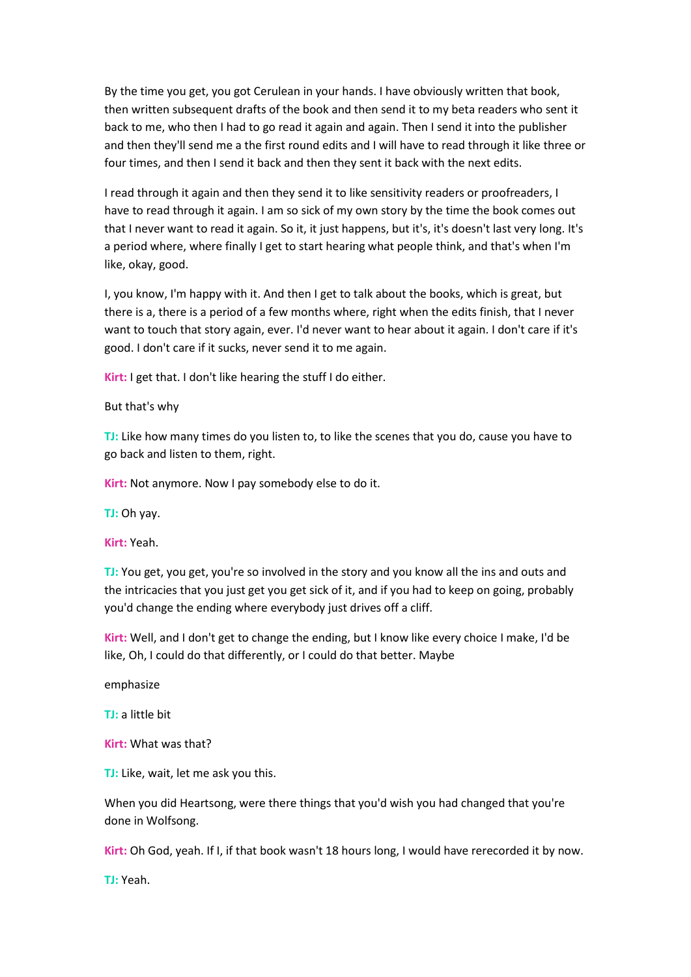By the time you get, you got Cerulean in your hands. I have obviously written that book, then written subsequent drafts of the book and then send it to my beta readers who sent it back to me, who then I had to go read it again and again. Then I send it into the publisher and then they'll send me a the first round edits and I will have to read through it like three or four times, and then I send it back and then they sent it back with the next edits.

I read through it again and then they send it to like sensitivity readers or proofreaders, I have to read through it again. I am so sick of my own story by the time the book comes out that I never want to read it again. So it, it just happens, but it's, it's doesn't last very long. It's a period where, where finally I get to start hearing what people think, and that's when I'm like, okay, good.

I, you know, I'm happy with it. And then I get to talk about the books, which is great, but there is a, there is a period of a few months where, right when the edits finish, that I never want to touch that story again, ever. I'd never want to hear about it again. I don't care if it's good. I don't care if it sucks, never send it to me again.

**Kirt:** I get that. I don't like hearing the stuff I do either.

But that's why

**TJ:** Like how many times do you listen to, to like the scenes that you do, cause you have to go back and listen to them, right.

**Kirt:** Not anymore. Now I pay somebody else to do it.

**TJ:** Oh yay.

**Kirt:** Yeah.

**TJ:** You get, you get, you're so involved in the story and you know all the ins and outs and the intricacies that you just get you get sick of it, and if you had to keep on going, probably you'd change the ending where everybody just drives off a cliff.

**Kirt:** Well, and I don't get to change the ending, but I know like every choice I make, I'd be like, Oh, I could do that differently, or I could do that better. Maybe

emphasize

**TJ:** a little bit

**Kirt:** What was that?

**TJ:** Like, wait, let me ask you this.

When you did Heartsong, were there things that you'd wish you had changed that you're done in Wolfsong.

**Kirt:** Oh God, yeah. If I, if that book wasn't 18 hours long, I would have rerecorded it by now.

**TJ:** Yeah.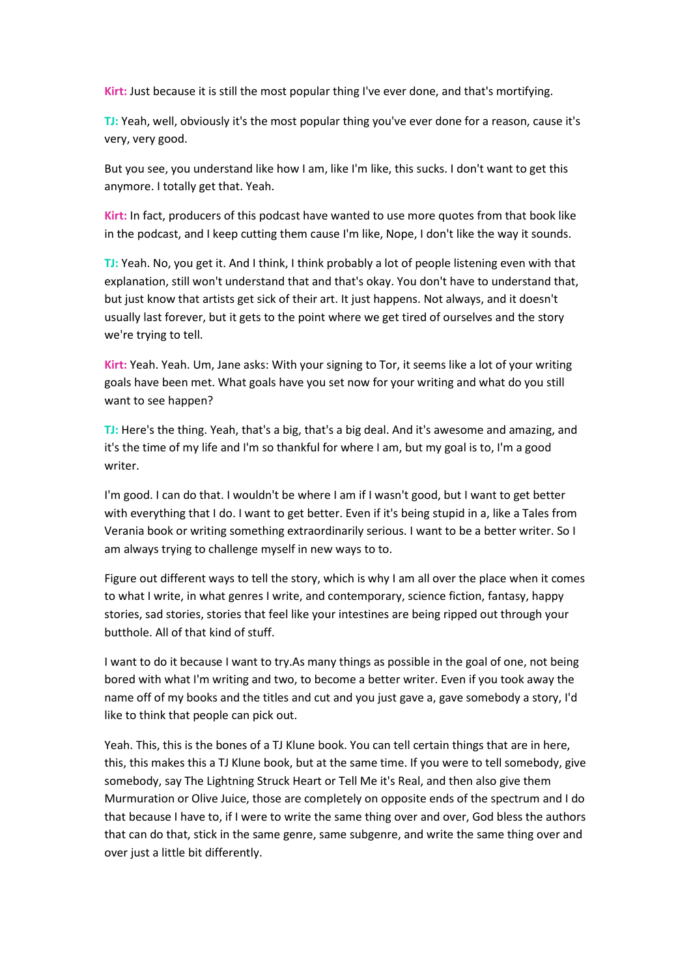**Kirt:** Just because it is still the most popular thing I've ever done, and that's mortifying.

**TJ:** Yeah, well, obviously it's the most popular thing you've ever done for a reason, cause it's very, very good.

But you see, you understand like how I am, like I'm like, this sucks. I don't want to get this anymore. I totally get that. Yeah.

**Kirt:** In fact, producers of this podcast have wanted to use more quotes from that book like in the podcast, and I keep cutting them cause I'm like, Nope, I don't like the way it sounds.

**TJ:** Yeah. No, you get it. And I think, I think probably a lot of people listening even with that explanation, still won't understand that and that's okay. You don't have to understand that, but just know that artists get sick of their art. It just happens. Not always, and it doesn't usually last forever, but it gets to the point where we get tired of ourselves and the story we're trying to tell.

**Kirt:** Yeah. Yeah. Um, Jane asks: With your signing to Tor, it seems like a lot of your writing goals have been met. What goals have you set now for your writing and what do you still want to see happen?

**TJ:** Here's the thing. Yeah, that's a big, that's a big deal. And it's awesome and amazing, and it's the time of my life and I'm so thankful for where I am, but my goal is to, I'm a good writer.

I'm good. I can do that. I wouldn't be where I am if I wasn't good, but I want to get better with everything that I do. I want to get better. Even if it's being stupid in a, like a Tales from Verania book or writing something extraordinarily serious. I want to be a better writer. So I am always trying to challenge myself in new ways to to.

Figure out different ways to tell the story, which is why I am all over the place when it comes to what I write, in what genres I write, and contemporary, science fiction, fantasy, happy stories, sad stories, stories that feel like your intestines are being ripped out through your butthole. All of that kind of stuff.

I want to do it because I want to try.As many things as possible in the goal of one, not being bored with what I'm writing and two, to become a better writer. Even if you took away the name off of my books and the titles and cut and you just gave a, gave somebody a story, I'd like to think that people can pick out.

Yeah. This, this is the bones of a TJ Klune book. You can tell certain things that are in here, this, this makes this a TJ Klune book, but at the same time. If you were to tell somebody, give somebody, say The Lightning Struck Heart or Tell Me it's Real, and then also give them Murmuration or Olive Juice, those are completely on opposite ends of the spectrum and I do that because I have to, if I were to write the same thing over and over, God bless the authors that can do that, stick in the same genre, same subgenre, and write the same thing over and over just a little bit differently.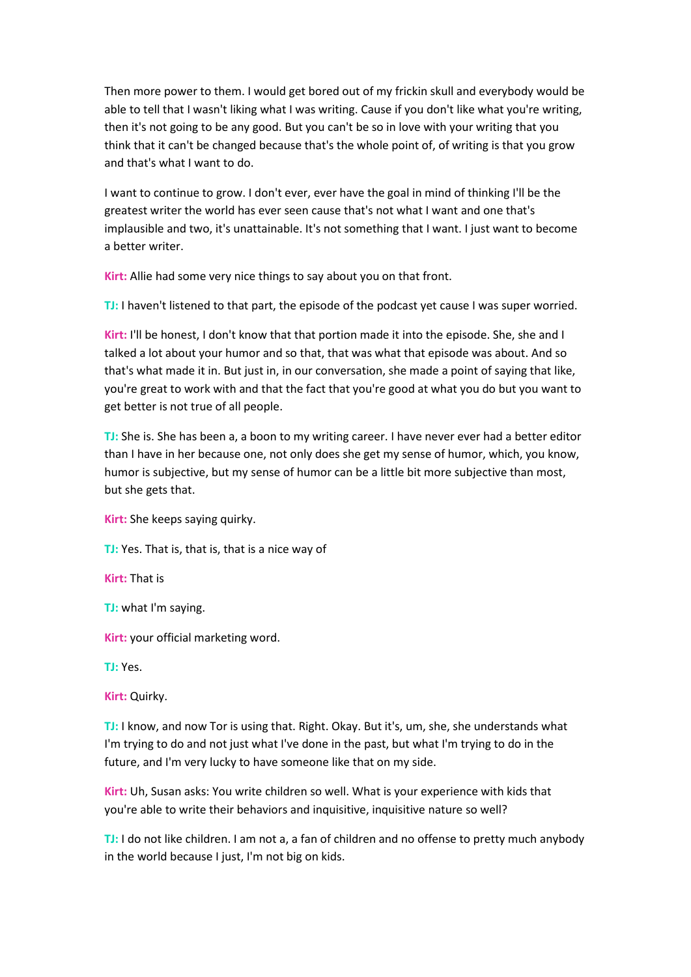Then more power to them. I would get bored out of my frickin skull and everybody would be able to tell that I wasn't liking what I was writing. Cause if you don't like what you're writing, then it's not going to be any good. But you can't be so in love with your writing that you think that it can't be changed because that's the whole point of, of writing is that you grow and that's what I want to do.

I want to continue to grow. I don't ever, ever have the goal in mind of thinking I'll be the greatest writer the world has ever seen cause that's not what I want and one that's implausible and two, it's unattainable. It's not something that I want. I just want to become a better writer.

**Kirt:** Allie had some very nice things to say about you on that front.

**TJ:** I haven't listened to that part, the episode of the podcast yet cause I was super worried.

**Kirt:** I'll be honest, I don't know that that portion made it into the episode. She, she and I talked a lot about your humor and so that, that was what that episode was about. And so that's what made it in. But just in, in our conversation, she made a point of saying that like, you're great to work with and that the fact that you're good at what you do but you want to get better is not true of all people.

**TJ:** She is. She has been a, a boon to my writing career. I have never ever had a better editor than I have in her because one, not only does she get my sense of humor, which, you know, humor is subjective, but my sense of humor can be a little bit more subjective than most, but she gets that.

**Kirt:** She keeps saying quirky.

**TJ:** Yes. That is, that is, that is a nice way of

**Kirt:** That is

**TJ:** what I'm saying.

**Kirt:** your official marketing word.

**TJ:** Yes.

**Kirt:** Quirky.

**TJ:** I know, and now Tor is using that. Right. Okay. But it's, um, she, she understands what I'm trying to do and not just what I've done in the past, but what I'm trying to do in the future, and I'm very lucky to have someone like that on my side.

**Kirt:** Uh, Susan asks: You write children so well. What is your experience with kids that you're able to write their behaviors and inquisitive, inquisitive nature so well?

**TJ:** I do not like children. I am not a, a fan of children and no offense to pretty much anybody in the world because I just, I'm not big on kids.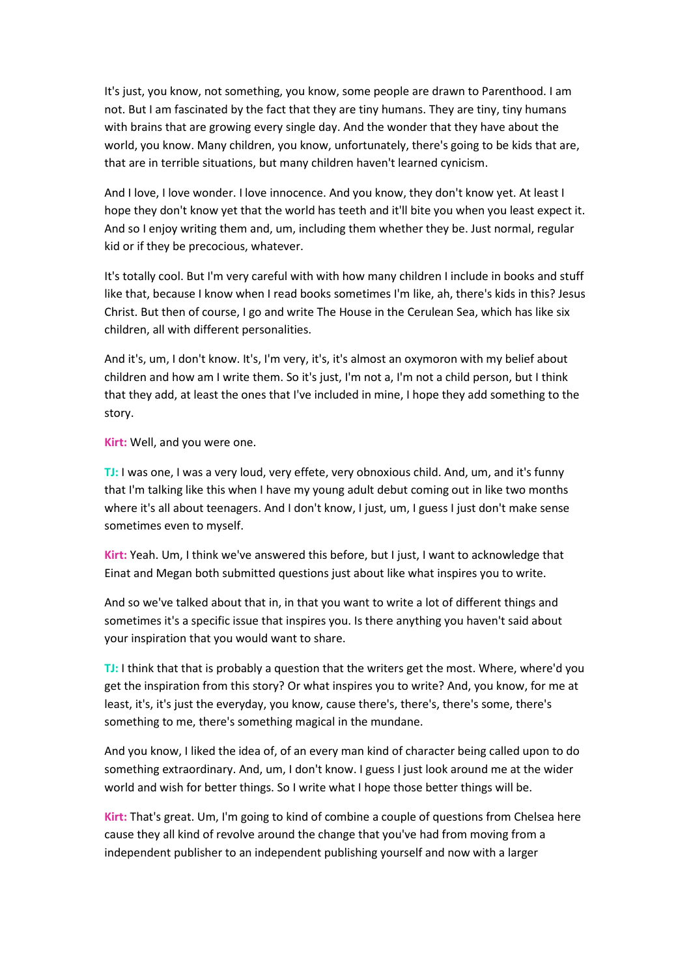It's just, you know, not something, you know, some people are drawn to Parenthood. I am not. But I am fascinated by the fact that they are tiny humans. They are tiny, tiny humans with brains that are growing every single day. And the wonder that they have about the world, you know. Many children, you know, unfortunately, there's going to be kids that are, that are in terrible situations, but many children haven't learned cynicism.

And I love, I love wonder. I love innocence. And you know, they don't know yet. At least I hope they don't know yet that the world has teeth and it'll bite you when you least expect it. And so I enjoy writing them and, um, including them whether they be. Just normal, regular kid or if they be precocious, whatever.

It's totally cool. But I'm very careful with with how many children I include in books and stuff like that, because I know when I read books sometimes I'm like, ah, there's kids in this? Jesus Christ. But then of course, I go and write The House in the Cerulean Sea, which has like six children, all with different personalities.

And it's, um, I don't know. It's, I'm very, it's, it's almost an oxymoron with my belief about children and how am I write them. So it's just, I'm not a, I'm not a child person, but I think that they add, at least the ones that I've included in mine, I hope they add something to the story.

**Kirt:** Well, and you were one.

**TJ:** I was one, I was a very loud, very effete, very obnoxious child. And, um, and it's funny that I'm talking like this when I have my young adult debut coming out in like two months where it's all about teenagers. And I don't know, I just, um, I guess I just don't make sense sometimes even to myself.

**Kirt:** Yeah. Um, I think we've answered this before, but I just, I want to acknowledge that Einat and Megan both submitted questions just about like what inspires you to write.

And so we've talked about that in, in that you want to write a lot of different things and sometimes it's a specific issue that inspires you. Is there anything you haven't said about your inspiration that you would want to share.

**TJ:** I think that that is probably a question that the writers get the most. Where, where'd you get the inspiration from this story? Or what inspires you to write? And, you know, for me at least, it's, it's just the everyday, you know, cause there's, there's, there's some, there's something to me, there's something magical in the mundane.

And you know, I liked the idea of, of an every man kind of character being called upon to do something extraordinary. And, um, I don't know. I guess I just look around me at the wider world and wish for better things. So I write what I hope those better things will be.

**Kirt:** That's great. Um, I'm going to kind of combine a couple of questions from Chelsea here cause they all kind of revolve around the change that you've had from moving from a independent publisher to an independent publishing yourself and now with a larger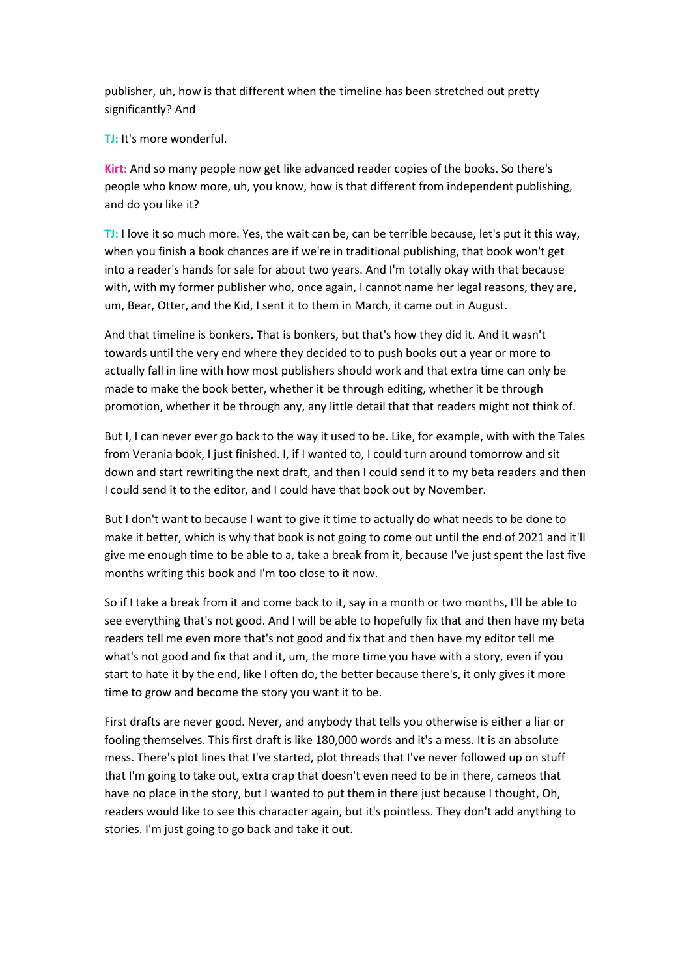publisher, uh, how is that different when the timeline has been stretched out pretty significantly? And

**TJ:** It's more wonderful.

**Kirt:** And so many people now get like advanced reader copies of the books. So there's people who know more, uh, you know, how is that different from independent publishing, and do you like it?

**TJ:** I love it so much more. Yes, the wait can be, can be terrible because, let's put it this way, when you finish a book chances are if we're in traditional publishing, that book won't get into a reader's hands for sale for about two years. And I'm totally okay with that because with, with my former publisher who, once again, I cannot name her legal reasons, they are, um, Bear, Otter, and the Kid, I sent it to them in March, it came out in August.

And that timeline is bonkers. That is bonkers, but that's how they did it. And it wasn't towards until the very end where they decided to to push books out a year or more to actually fall in line with how most publishers should work and that extra time can only be made to make the book better, whether it be through editing, whether it be through promotion, whether it be through any, any little detail that that readers might not think of.

But I, I can never ever go back to the way it used to be. Like, for example, with with the Tales from Verania book, I just finished. I, if I wanted to, I could turn around tomorrow and sit down and start rewriting the next draft, and then I could send it to my beta readers and then I could send it to the editor, and I could have that book out by November.

But I don't want to because I want to give it time to actually do what needs to be done to make it better, which is why that book is not going to come out until the end of 2021 and it'll give me enough time to be able to a, take a break from it, because I've just spent the last five months writing this book and I'm too close to it now.

So if I take a break from it and come back to it, say in a month or two months, I'll be able to see everything that's not good. And I will be able to hopefully fix that and then have my beta readers tell me even more that's not good and fix that and then have my editor tell me what's not good and fix that and it, um, the more time you have with a story, even if you start to hate it by the end, like I often do, the better because there's, it only gives it more time to grow and become the story you want it to be.

First drafts are never good. Never, and anybody that tells you otherwise is either a liar or fooling themselves. This first draft is like 180,000 words and it's a mess. It is an absolute mess. There's plot lines that I've started, plot threads that I've never followed up on stuff that I'm going to take out, extra crap that doesn't even need to be in there, cameos that have no place in the story, but I wanted to put them in there just because I thought, Oh, readers would like to see this character again, but it's pointless. They don't add anything to stories. I'm just going to go back and take it out.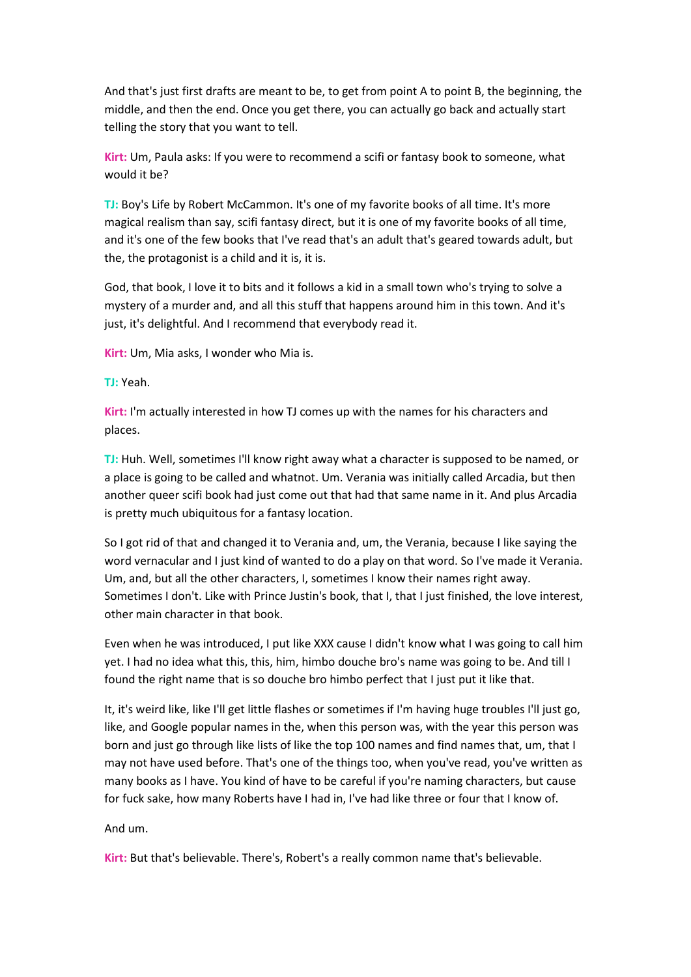And that's just first drafts are meant to be, to get from point A to point B, the beginning, the middle, and then the end. Once you get there, you can actually go back and actually start telling the story that you want to tell.

**Kirt:** Um, Paula asks: If you were to recommend a scifi or fantasy book to someone, what would it be?

**TJ:** Boy's Life by Robert McCammon. It's one of my favorite books of all time. It's more magical realism than say, scifi fantasy direct, but it is one of my favorite books of all time, and it's one of the few books that I've read that's an adult that's geared towards adult, but the, the protagonist is a child and it is, it is.

God, that book, I love it to bits and it follows a kid in a small town who's trying to solve a mystery of a murder and, and all this stuff that happens around him in this town. And it's just, it's delightful. And I recommend that everybody read it.

**Kirt:** Um, Mia asks, I wonder who Mia is.

**TJ:** Yeah.

**Kirt:** I'm actually interested in how TJ comes up with the names for his characters and places.

**TJ:** Huh. Well, sometimes I'll know right away what a character is supposed to be named, or a place is going to be called and whatnot. Um. Verania was initially called Arcadia, but then another queer scifi book had just come out that had that same name in it. And plus Arcadia is pretty much ubiquitous for a fantasy location.

So I got rid of that and changed it to Verania and, um, the Verania, because I like saying the word vernacular and I just kind of wanted to do a play on that word. So I've made it Verania. Um, and, but all the other characters, I, sometimes I know their names right away. Sometimes I don't. Like with Prince Justin's book, that I, that I just finished, the love interest, other main character in that book.

Even when he was introduced, I put like XXX cause I didn't know what I was going to call him yet. I had no idea what this, this, him, himbo douche bro's name was going to be. And till I found the right name that is so douche bro himbo perfect that I just put it like that.

It, it's weird like, like I'll get little flashes or sometimes if I'm having huge troubles I'll just go, like, and Google popular names in the, when this person was, with the year this person was born and just go through like lists of like the top 100 names and find names that, um, that I may not have used before. That's one of the things too, when you've read, you've written as many books as I have. You kind of have to be careful if you're naming characters, but cause for fuck sake, how many Roberts have I had in, I've had like three or four that I know of.

## And um.

**Kirt:** But that's believable. There's, Robert's a really common name that's believable.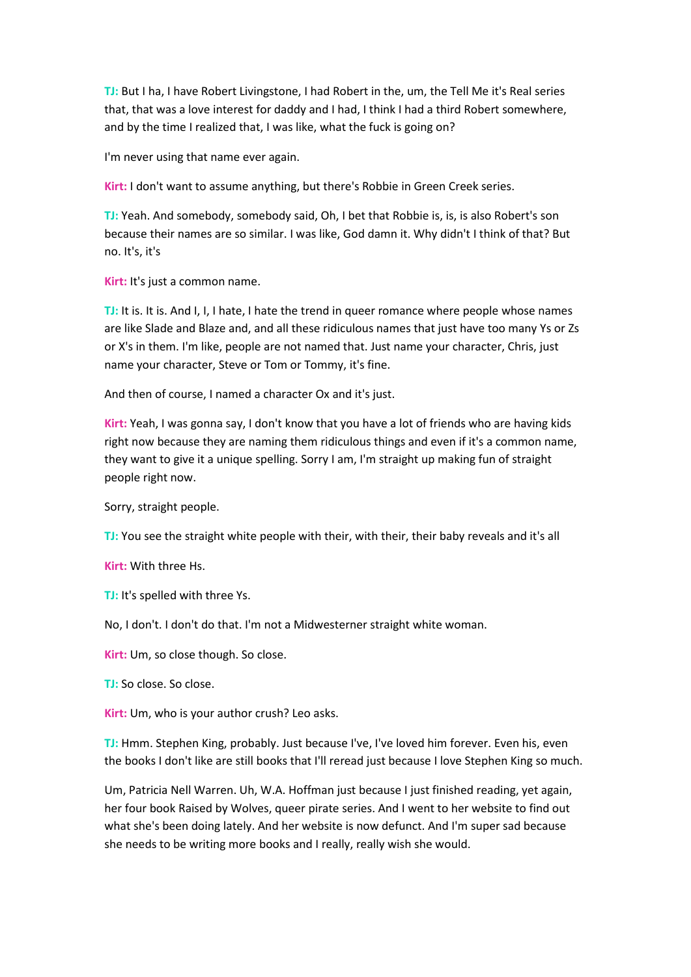**TJ:** But I ha, I have Robert Livingstone, I had Robert in the, um, the Tell Me it's Real series that, that was a love interest for daddy and I had, I think I had a third Robert somewhere, and by the time I realized that, I was like, what the fuck is going on?

I'm never using that name ever again.

**Kirt:** I don't want to assume anything, but there's Robbie in Green Creek series.

**TJ:** Yeah. And somebody, somebody said, Oh, I bet that Robbie is, is, is also Robert's son because their names are so similar. I was like, God damn it. Why didn't I think of that? But no. It's, it's

**Kirt:** It's just a common name.

**TJ:** It is. It is. And I, I, I hate, I hate the trend in queer romance where people whose names are like Slade and Blaze and, and all these ridiculous names that just have too many Ys or Zs or X's in them. I'm like, people are not named that. Just name your character, Chris, just name your character, Steve or Tom or Tommy, it's fine.

And then of course, I named a character Ox and it's just.

**Kirt:** Yeah, I was gonna say, I don't know that you have a lot of friends who are having kids right now because they are naming them ridiculous things and even if it's a common name, they want to give it a unique spelling. Sorry I am, I'm straight up making fun of straight people right now.

Sorry, straight people.

**TJ:** You see the straight white people with their, with their, their baby reveals and it's all

**Kirt:** With three Hs.

**TJ:** It's spelled with three Ys.

No, I don't. I don't do that. I'm not a Midwesterner straight white woman.

**Kirt:** Um, so close though. So close.

**TJ:** So close. So close.

**Kirt:** Um, who is your author crush? Leo asks.

**TJ:** Hmm. Stephen King, probably. Just because I've, I've loved him forever. Even his, even the books I don't like are still books that I'll reread just because I love Stephen King so much.

Um, Patricia Nell Warren. Uh, W.A. Hoffman just because I just finished reading, yet again, her four book Raised by Wolves, queer pirate series. And I went to her website to find out what she's been doing lately. And her website is now defunct. And I'm super sad because she needs to be writing more books and I really, really wish she would.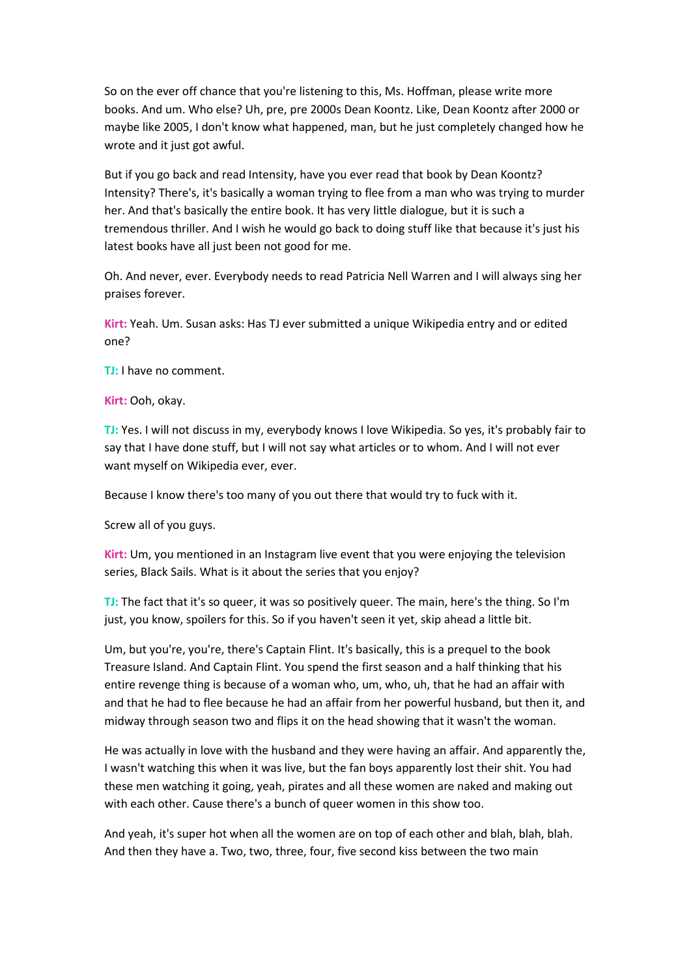So on the ever off chance that you're listening to this, Ms. Hoffman, please write more books. And um. Who else? Uh, pre, pre 2000s Dean Koontz. Like, Dean Koontz after 2000 or maybe like 2005, I don't know what happened, man, but he just completely changed how he wrote and it just got awful.

But if you go back and read Intensity, have you ever read that book by Dean Koontz? Intensity? There's, it's basically a woman trying to flee from a man who was trying to murder her. And that's basically the entire book. It has very little dialogue, but it is such a tremendous thriller. And I wish he would go back to doing stuff like that because it's just his latest books have all just been not good for me.

Oh. And never, ever. Everybody needs to read Patricia Nell Warren and I will always sing her praises forever.

**Kirt:** Yeah. Um. Susan asks: Has TJ ever submitted a unique Wikipedia entry and or edited one?

**TJ:** I have no comment.

**Kirt:** Ooh, okay.

**TJ:** Yes. I will not discuss in my, everybody knows I love Wikipedia. So yes, it's probably fair to say that I have done stuff, but I will not say what articles or to whom. And I will not ever want myself on Wikipedia ever, ever.

Because I know there's too many of you out there that would try to fuck with it.

Screw all of you guys.

**Kirt:** Um, you mentioned in an Instagram live event that you were enjoying the television series, Black Sails. What is it about the series that you enjoy?

**TJ:** The fact that it's so queer, it was so positively queer. The main, here's the thing. So I'm just, you know, spoilers for this. So if you haven't seen it yet, skip ahead a little bit.

Um, but you're, you're, there's Captain Flint. It's basically, this is a prequel to the book Treasure Island. And Captain Flint. You spend the first season and a half thinking that his entire revenge thing is because of a woman who, um, who, uh, that he had an affair with and that he had to flee because he had an affair from her powerful husband, but then it, and midway through season two and flips it on the head showing that it wasn't the woman.

He was actually in love with the husband and they were having an affair. And apparently the, I wasn't watching this when it was live, but the fan boys apparently lost their shit. You had these men watching it going, yeah, pirates and all these women are naked and making out with each other. Cause there's a bunch of queer women in this show too.

And yeah, it's super hot when all the women are on top of each other and blah, blah, blah. And then they have a. Two, two, three, four, five second kiss between the two main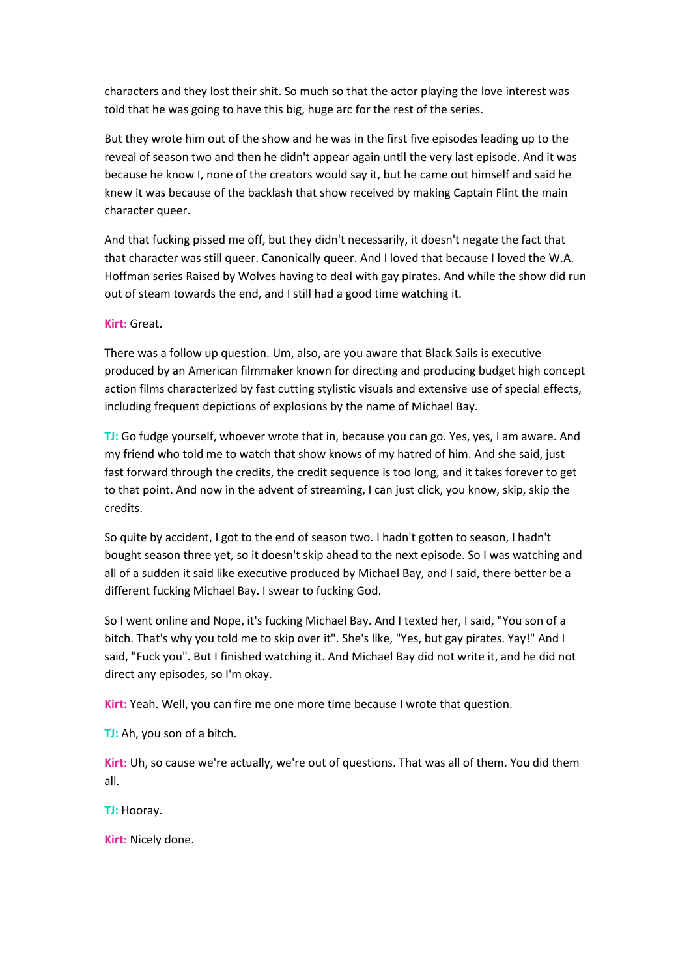characters and they lost their shit. So much so that the actor playing the love interest was told that he was going to have this big, huge arc for the rest of the series.

But they wrote him out of the show and he was in the first five episodes leading up to the reveal of season two and then he didn't appear again until the very last episode. And it was because he know I, none of the creators would say it, but he came out himself and said he knew it was because of the backlash that show received by making Captain Flint the main character queer.

And that fucking pissed me off, but they didn't necessarily, it doesn't negate the fact that that character was still queer. Canonically queer. And I loved that because I loved the W.A. Hoffman series Raised by Wolves having to deal with gay pirates. And while the show did run out of steam towards the end, and I still had a good time watching it.

## **Kirt:** Great.

There was a follow up question. Um, also, are you aware that Black Sails is executive produced by an American filmmaker known for directing and producing budget high concept action films characterized by fast cutting stylistic visuals and extensive use of special effects, including frequent depictions of explosions by the name of Michael Bay.

**TJ:** Go fudge yourself, whoever wrote that in, because you can go. Yes, yes, I am aware. And my friend who told me to watch that show knows of my hatred of him. And she said, just fast forward through the credits, the credit sequence is too long, and it takes forever to get to that point. And now in the advent of streaming, I can just click, you know, skip, skip the credits.

So quite by accident, I got to the end of season two. I hadn't gotten to season, I hadn't bought season three yet, so it doesn't skip ahead to the next episode. So I was watching and all of a sudden it said like executive produced by Michael Bay, and I said, there better be a different fucking Michael Bay. I swear to fucking God.

So I went online and Nope, it's fucking Michael Bay. And I texted her, I said, "You son of a bitch. That's why you told me to skip over it". She's like, "Yes, but gay pirates. Yay!" And I said, "Fuck you". But I finished watching it. And Michael Bay did not write it, and he did not direct any episodes, so I'm okay.

**Kirt:** Yeah. Well, you can fire me one more time because I wrote that question.

**TJ:** Ah, you son of a bitch.

**Kirt:** Uh, so cause we're actually, we're out of questions. That was all of them. You did them all.

**TJ:** Hooray.

**Kirt:** Nicely done.